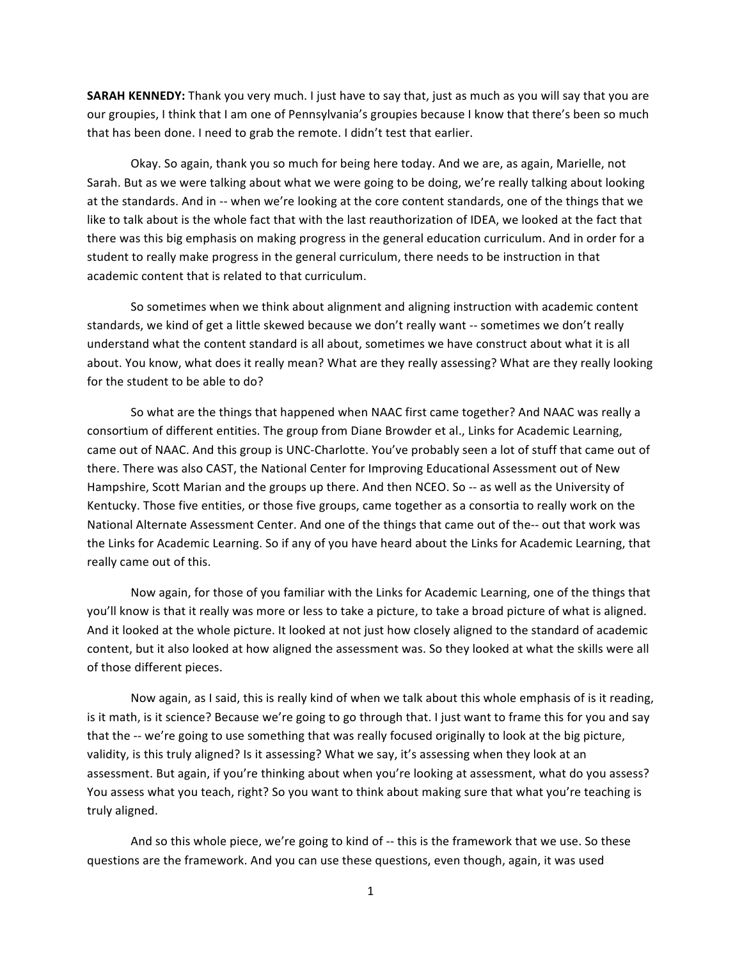**SARAH KENNEDY:** Thank you very much. I just have to say that, just as much as you will say that you are our groupies, I think that I am one of Pennsylvania's groupies because I know that there's been so much that has been done. I need to grab the remote. I didn't test that earlier.

Okay. So again, thank you so much for being here today. And we are, as again, Marielle, not Sarah. But as we were talking about what we were going to be doing, we're really talking about looking at the standards. And in -- when we're looking at the core content standards, one of the things that we like to talk about is the whole fact that with the last reauthorization of IDEA, we looked at the fact that there was this big emphasis on making progress in the general education curriculum. And in order for a student to really make progress in the general curriculum, there needs to be instruction in that academic content that is related to that curriculum.

So sometimes when we think about alignment and aligning instruction with academic content standards, we kind of get a little skewed because we don't really want -- sometimes we don't really understand what the content standard is all about, sometimes we have construct about what it is all about. You know, what does it really mean? What are they really assessing? What are they really looking for the student to be able to do?

So what are the things that happened when NAAC first came together? And NAAC was really a consortium of different entities. The group from Diane Browder et al., Links for Academic Learning, came out of NAAC. And this group is UNC-Charlotte. You've probably seen a lot of stuff that came out of there. There was also CAST, the National Center for Improving Educational Assessment out of New Hampshire, Scott Marian and the groups up there. And then NCEO. So -- as well as the University of Kentucky. Those five entities, or those five groups, came together as a consortia to really work on the National Alternate Assessment Center. And one of the things that came out of the-- out that work was the Links for Academic Learning. So if any of you have heard about the Links for Academic Learning, that really came out of this.

Now again, for those of you familiar with the Links for Academic Learning, one of the things that you'll know is that it really was more or less to take a picture, to take a broad picture of what is aligned. And it looked at the whole picture. It looked at not just how closely aligned to the standard of academic content, but it also looked at how aligned the assessment was. So they looked at what the skills were all of those different pieces.

Now again, as I said, this is really kind of when we talk about this whole emphasis of is it reading, is it math, is it science? Because we're going to go through that. I just want to frame this for you and say that the -- we're going to use something that was really focused originally to look at the big picture, validity, is this truly aligned? Is it assessing? What we say, it's assessing when they look at an assessment. But again, if you're thinking about when you're looking at assessment, what do you assess? You assess what you teach, right? So you want to think about making sure that what you're teaching is truly aligned.

And so this whole piece, we're going to kind of -- this is the framework that we use. So these questions are the framework. And you can use these questions, even though, again, it was used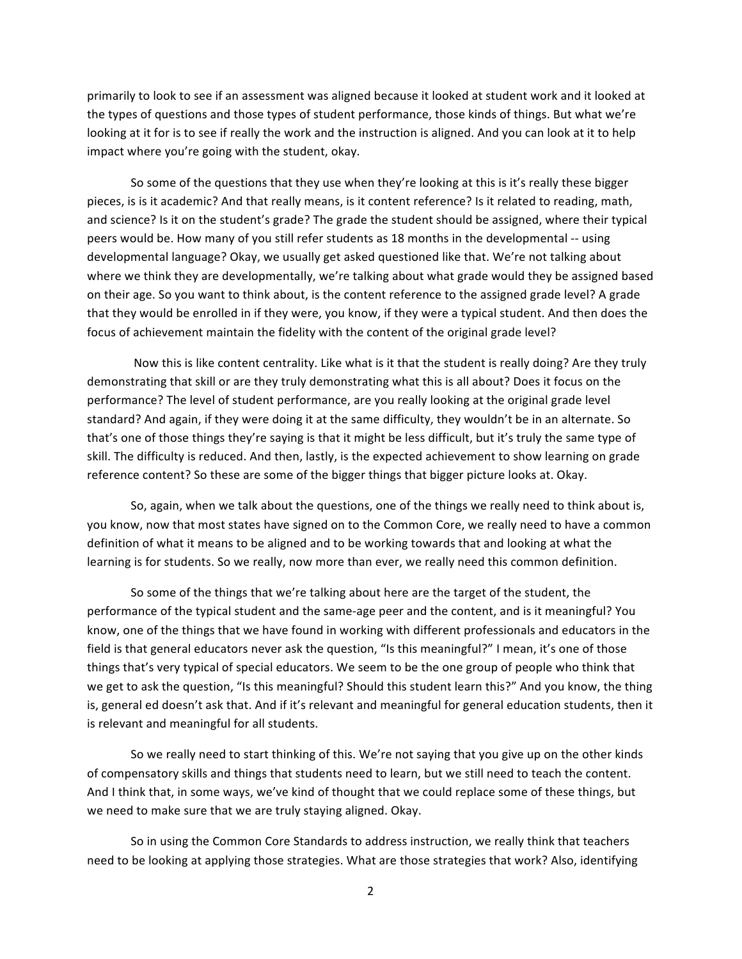primarily to look to see if an assessment was aligned because it looked at student work and it looked at the types of questions and those types of student performance, those kinds of things. But what we're looking at it for is to see if really the work and the instruction is aligned. And you can look at it to help impact where you're going with the student, okay.

So some of the questions that they use when they're looking at this is it's really these bigger pieces, is is it academic? And that really means, is it content reference? Is it related to reading, math, and science? Is it on the student's grade? The grade the student should be assigned, where their typical peers would be. How many of you still refer students as 18 months in the developmental -- using developmental language? Okay, we usually get asked questioned like that. We're not talking about where we think they are developmentally, we're talking about what grade would they be assigned based on their age. So you want to think about, is the content reference to the assigned grade level? A grade that they would be enrolled in if they were, you know, if they were a typical student. And then does the focus of achievement maintain the fidelity with the content of the original grade level?

Now this is like content centrality. Like what is it that the student is really doing? Are they truly demonstrating that skill or are they truly demonstrating what this is all about? Does it focus on the performance? The level of student performance, are you really looking at the original grade level standard? And again, if they were doing it at the same difficulty, they wouldn't be in an alternate. So that's one of those things they're saying is that it might be less difficult, but it's truly the same type of skill. The difficulty is reduced. And then, lastly, is the expected achievement to show learning on grade reference content? So these are some of the bigger things that bigger picture looks at. Okay.

So, again, when we talk about the questions, one of the things we really need to think about is, you know, now that most states have signed on to the Common Core, we really need to have a common definition of what it means to be aligned and to be working towards that and looking at what the learning is for students. So we really, now more than ever, we really need this common definition.

So some of the things that we're talking about here are the target of the student, the performance of the typical student and the same-age peer and the content, and is it meaningful? You know, one of the things that we have found in working with different professionals and educators in the field is that general educators never ask the question, "Is this meaningful?" I mean, it's one of those things that's very typical of special educators. We seem to be the one group of people who think that we get to ask the question, "Is this meaningful? Should this student learn this?" And you know, the thing is, general ed doesn't ask that. And if it's relevant and meaningful for general education students, then it is relevant and meaningful for all students.

So we really need to start thinking of this. We're not saying that you give up on the other kinds of compensatory skills and things that students need to learn, but we still need to teach the content. And I think that, in some ways, we've kind of thought that we could replace some of these things, but we need to make sure that we are truly staying aligned. Okay.

So in using the Common Core Standards to address instruction, we really think that teachers need to be looking at applying those strategies. What are those strategies that work? Also, identifying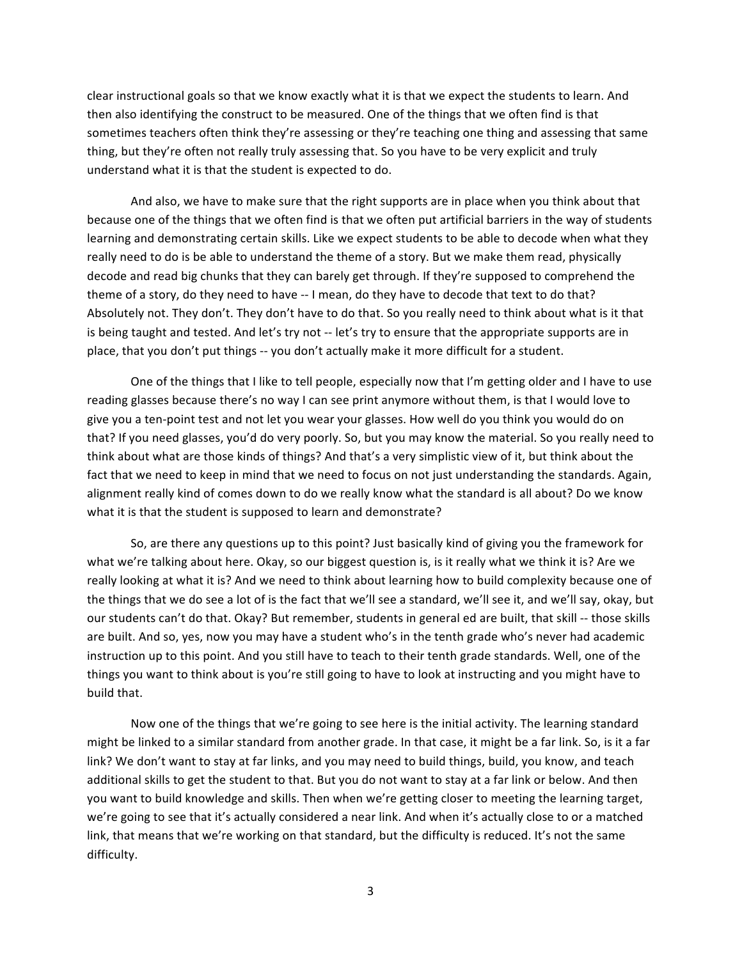clear instructional goals so that we know exactly what it is that we expect the students to learn. And then also identifying the construct to be measured. One of the things that we often find is that sometimes teachers often think they're assessing or they're teaching one thing and assessing that same thing, but they're often not really truly assessing that. So you have to be very explicit and truly understand what it is that the student is expected to do.

And also, we have to make sure that the right supports are in place when you think about that because one of the things that we often find is that we often put artificial barriers in the way of students learning and demonstrating certain skills. Like we expect students to be able to decode when what they really need to do is be able to understand the theme of a story. But we make them read, physically decode and read big chunks that they can barely get through. If they're supposed to comprehend the theme of a story, do they need to have -- I mean, do they have to decode that text to do that? Absolutely not. They don't. They don't have to do that. So you really need to think about what is it that is being taught and tested. And let's try not -- let's try to ensure that the appropriate supports are in place, that you don't put things -- you don't actually make it more difficult for a student.

One of the things that I like to tell people, especially now that I'm getting older and I have to use reading glasses because there's no way I can see print anymore without them, is that I would love to give you a ten-point test and not let you wear your glasses. How well do you think you would do on that? If you need glasses, you'd do very poorly. So, but you may know the material. So you really need to think about what are those kinds of things? And that's a very simplistic view of it, but think about the fact that we need to keep in mind that we need to focus on not just understanding the standards. Again, alignment really kind of comes down to do we really know what the standard is all about? Do we know what it is that the student is supposed to learn and demonstrate?

So, are there any questions up to this point? Just basically kind of giving you the framework for what we're talking about here. Okay, so our biggest question is, is it really what we think it is? Are we really looking at what it is? And we need to think about learning how to build complexity because one of the things that we do see a lot of is the fact that we'll see a standard, we'll see it, and we'll say, okay, but our students can't do that. Okay? But remember, students in general ed are built, that skill -- those skills are built. And so, yes, now you may have a student who's in the tenth grade who's never had academic instruction up to this point. And you still have to teach to their tenth grade standards. Well, one of the things you want to think about is you're still going to have to look at instructing and you might have to build that.

Now one of the things that we're going to see here is the initial activity. The learning standard might be linked to a similar standard from another grade. In that case, it might be a far link. So, is it a far link? We don't want to stay at far links, and you may need to build things, build, you know, and teach additional skills to get the student to that. But you do not want to stay at a far link or below. And then you want to build knowledge and skills. Then when we're getting closer to meeting the learning target, we're going to see that it's actually considered a near link. And when it's actually close to or a matched link, that means that we're working on that standard, but the difficulty is reduced. It's not the same difficulty.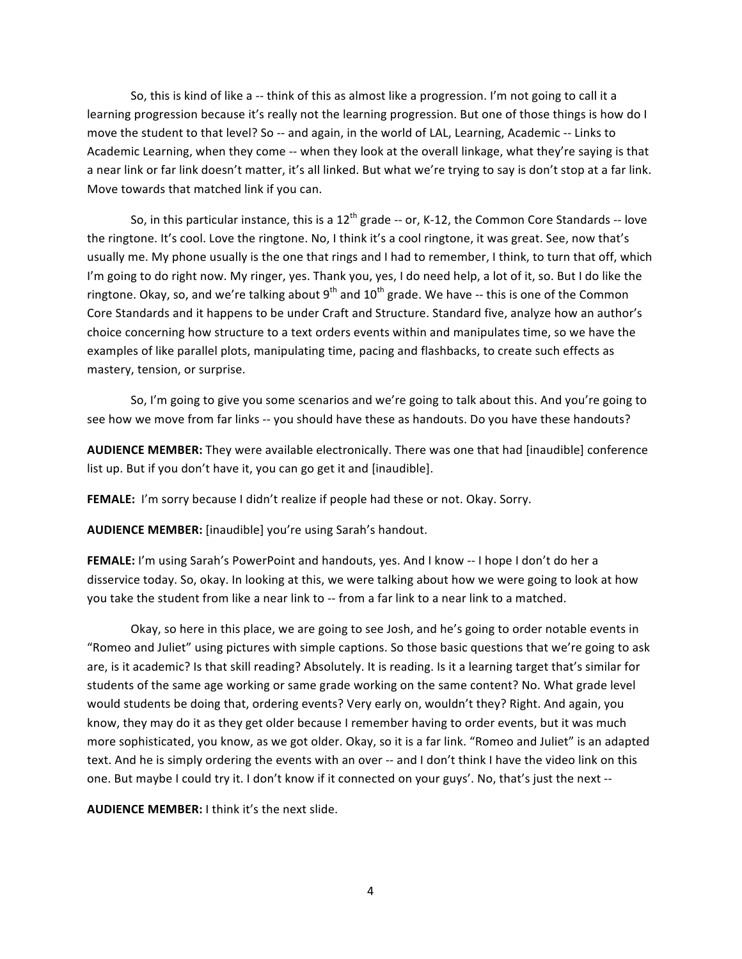So, this is kind of like a -- think of this as almost like a progression. I'm not going to call it a learning progression because it's really not the learning progression. But one of those things is how do I move the student to that level? So -- and again, in the world of LAL, Learning, Academic -- Links to Academic Learning, when they come -- when they look at the overall linkage, what they're saying is that a near link or far link doesn't matter, it's all linked. But what we're trying to say is don't stop at a far link. Move towards that matched link if you can.

So, in this particular instance, this is a  $12<sup>th</sup>$  grade -- or, K-12, the Common Core Standards -- love the ringtone. It's cool. Love the ringtone. No, I think it's a cool ringtone, it was great. See, now that's usually me. My phone usually is the one that rings and I had to remember, I think, to turn that off, which I'm going to do right now. My ringer, yes. Thank you, yes, I do need help, a lot of it, so. But I do like the ringtone. Okay, so, and we're talking about 9<sup>th</sup> and  $10^{th}$  grade. We have -- this is one of the Common Core Standards and it happens to be under Craft and Structure. Standard five, analyze how an author's choice concerning how structure to a text orders events within and manipulates time, so we have the examples of like parallel plots, manipulating time, pacing and flashbacks, to create such effects as mastery, tension, or surprise.

So, I'm going to give you some scenarios and we're going to talk about this. And you're going to see how we move from far links -- you should have these as handouts. Do you have these handouts?

**AUDIENCE MEMBER:** They were available electronically. There was one that had [inaudible] conference list up. But if you don't have it, you can go get it and [inaudible].

FEMALE: I'm sorry because I didn't realize if people had these or not. Okay. Sorry.

AUDIENCE MEMBER: [inaudible] you're using Sarah's handout.

**FEMALE:** I'm using Sarah's PowerPoint and handouts, yes. And I know -- I hope I don't do her a disservice today. So, okay. In looking at this, we were talking about how we were going to look at how you take the student from like a near link to -- from a far link to a near link to a matched.

Okay, so here in this place, we are going to see Josh, and he's going to order notable events in "Romeo and Juliet" using pictures with simple captions. So those basic questions that we're going to ask are, is it academic? Is that skill reading? Absolutely. It is reading. Is it a learning target that's similar for students of the same age working or same grade working on the same content? No. What grade level would students be doing that, ordering events? Very early on, wouldn't they? Right. And again, you know, they may do it as they get older because I remember having to order events, but it was much more sophisticated, you know, as we got older. Okay, so it is a far link. "Romeo and Juliet" is an adapted text. And he is simply ordering the events with an over -- and I don't think I have the video link on this one. But maybe I could try it. I don't know if it connected on your guys'. No, that's just the next --

**AUDIENCE MEMBER:** I think it's the next slide.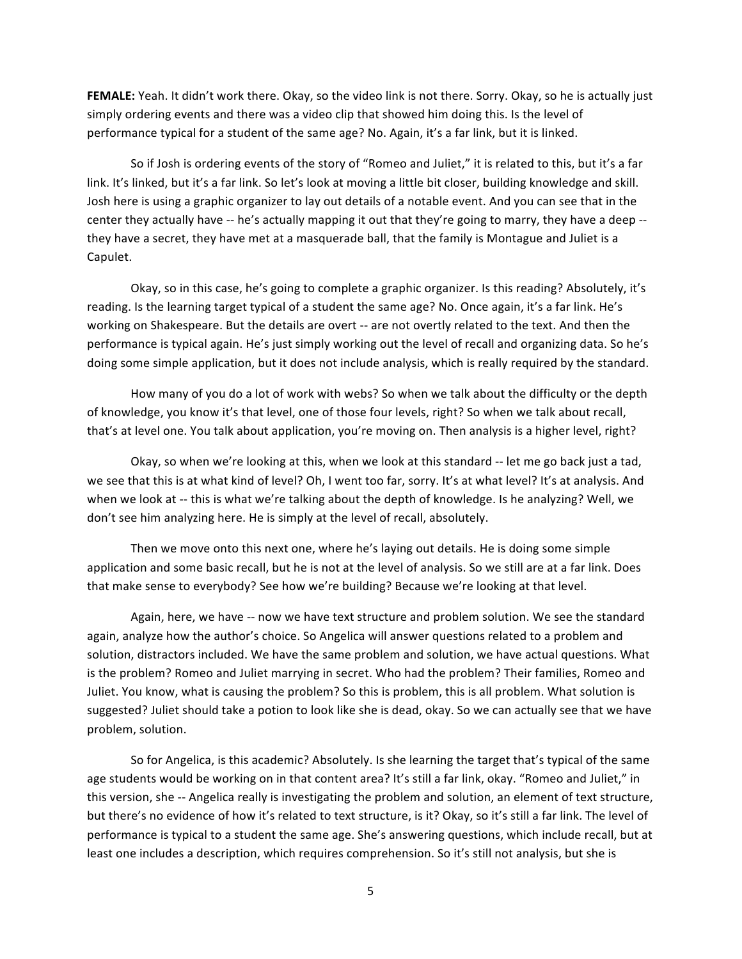**FEMALE:** Yeah. It didn't work there. Okay, so the video link is not there. Sorry. Okay, so he is actually just simply ordering events and there was a video clip that showed him doing this. Is the level of performance typical for a student of the same age? No. Again, it's a far link, but it is linked.

So if Josh is ordering events of the story of "Romeo and Juliet," it is related to this, but it's a far link. It's linked, but it's a far link. So let's look at moving a little bit closer, building knowledge and skill. Josh here is using a graphic organizer to lay out details of a notable event. And you can see that in the center they actually have -- he's actually mapping it out that they're going to marry, they have a deep -they have a secret, they have met at a masquerade ball, that the family is Montague and Juliet is a Capulet.

Okay, so in this case, he's going to complete a graphic organizer. Is this reading? Absolutely, it's reading. Is the learning target typical of a student the same age? No. Once again, it's a far link. He's working on Shakespeare. But the details are overt -- are not overtly related to the text. And then the performance is typical again. He's just simply working out the level of recall and organizing data. So he's doing some simple application, but it does not include analysis, which is really required by the standard.

How many of you do a lot of work with webs? So when we talk about the difficulty or the depth of knowledge, you know it's that level, one of those four levels, right? So when we talk about recall, that's at level one. You talk about application, you're moving on. Then analysis is a higher level, right?

Okay, so when we're looking at this, when we look at this standard -- let me go back just a tad, we see that this is at what kind of level? Oh, I went too far, sorry. It's at what level? It's at analysis. And when we look at -- this is what we're talking about the depth of knowledge. Is he analyzing? Well, we don't see him analyzing here. He is simply at the level of recall, absolutely.

Then we move onto this next one, where he's laying out details. He is doing some simple application and some basic recall, but he is not at the level of analysis. So we still are at a far link. Does that make sense to everybody? See how we're building? Because we're looking at that level.

Again, here, we have -- now we have text structure and problem solution. We see the standard again, analyze how the author's choice. So Angelica will answer questions related to a problem and solution, distractors included. We have the same problem and solution, we have actual questions. What is the problem? Romeo and Juliet marrying in secret. Who had the problem? Their families, Romeo and Juliet. You know, what is causing the problem? So this is problem, this is all problem. What solution is suggested? Juliet should take a potion to look like she is dead, okay. So we can actually see that we have problem, solution.

So for Angelica, is this academic? Absolutely. Is she learning the target that's typical of the same age students would be working on in that content area? It's still a far link, okay. "Romeo and Juliet," in this version, she -- Angelica really is investigating the problem and solution, an element of text structure, but there's no evidence of how it's related to text structure, is it? Okay, so it's still a far link. The level of performance is typical to a student the same age. She's answering questions, which include recall, but at least one includes a description, which requires comprehension. So it's still not analysis, but she is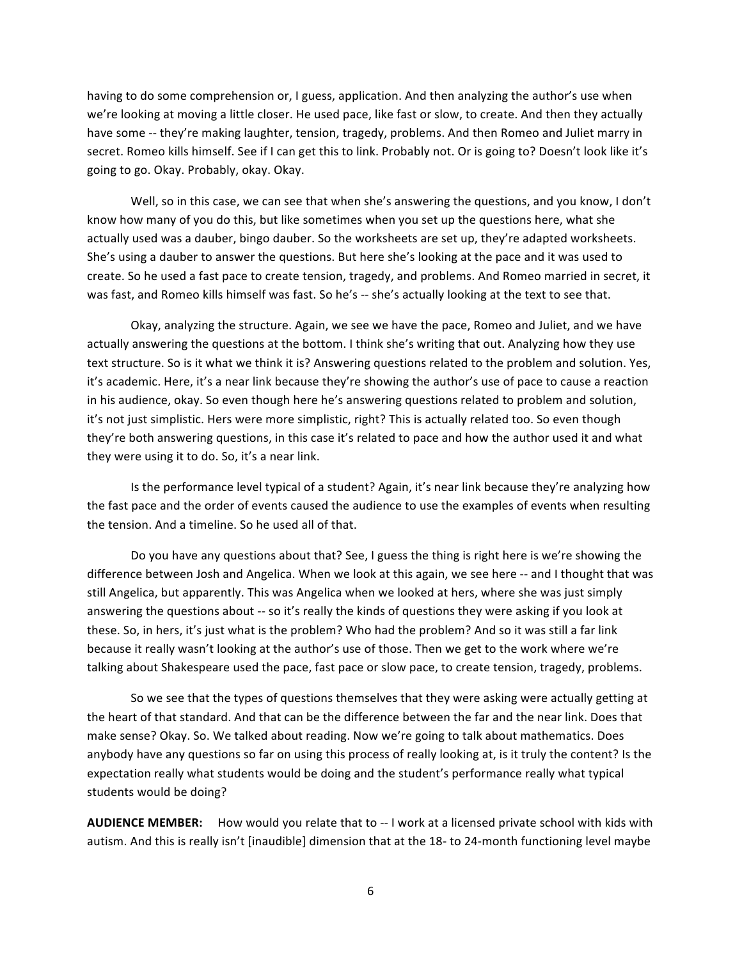having to do some comprehension or, I guess, application. And then analyzing the author's use when we're looking at moving a little closer. He used pace, like fast or slow, to create. And then they actually have some -- they're making laughter, tension, tragedy, problems. And then Romeo and Juliet marry in secret. Romeo kills himself. See if I can get this to link. Probably not. Or is going to? Doesn't look like it's going to go. Okay. Probably, okay. Okay.

Well, so in this case, we can see that when she's answering the questions, and you know, I don't know how many of you do this, but like sometimes when you set up the questions here, what she actually used was a dauber, bingo dauber. So the worksheets are set up, they're adapted worksheets. She's using a dauber to answer the questions. But here she's looking at the pace and it was used to create. So he used a fast pace to create tension, tragedy, and problems. And Romeo married in secret, it was fast, and Romeo kills himself was fast. So he's -- she's actually looking at the text to see that.

Okay, analyzing the structure. Again, we see we have the pace, Romeo and Juliet, and we have actually answering the questions at the bottom. I think she's writing that out. Analyzing how they use text structure. So is it what we think it is? Answering questions related to the problem and solution. Yes, it's academic. Here, it's a near link because they're showing the author's use of pace to cause a reaction in his audience, okay. So even though here he's answering questions related to problem and solution, it's not just simplistic. Hers were more simplistic, right? This is actually related too. So even though they're both answering questions, in this case it's related to pace and how the author used it and what they were using it to do. So, it's a near link.

Is the performance level typical of a student? Again, it's near link because they're analyzing how the fast pace and the order of events caused the audience to use the examples of events when resulting the tension. And a timeline. So he used all of that.

Do you have any questions about that? See, I guess the thing is right here is we're showing the difference between Josh and Angelica. When we look at this again, we see here -- and I thought that was still Angelica, but apparently. This was Angelica when we looked at hers, where she was just simply answering the questions about -- so it's really the kinds of questions they were asking if you look at these. So, in hers, it's just what is the problem? Who had the problem? And so it was still a far link because it really wasn't looking at the author's use of those. Then we get to the work where we're talking about Shakespeare used the pace, fast pace or slow pace, to create tension, tragedy, problems.

So we see that the types of questions themselves that they were asking were actually getting at the heart of that standard. And that can be the difference between the far and the near link. Does that make sense? Okay. So. We talked about reading. Now we're going to talk about mathematics. Does anybody have any questions so far on using this process of really looking at, is it truly the content? Is the expectation really what students would be doing and the student's performance really what typical students would be doing?

**AUDIENCE MEMBER:** How would you relate that to -- I work at a licensed private school with kids with autism. And this is really isn't [inaudible] dimension that at the 18- to 24-month functioning level maybe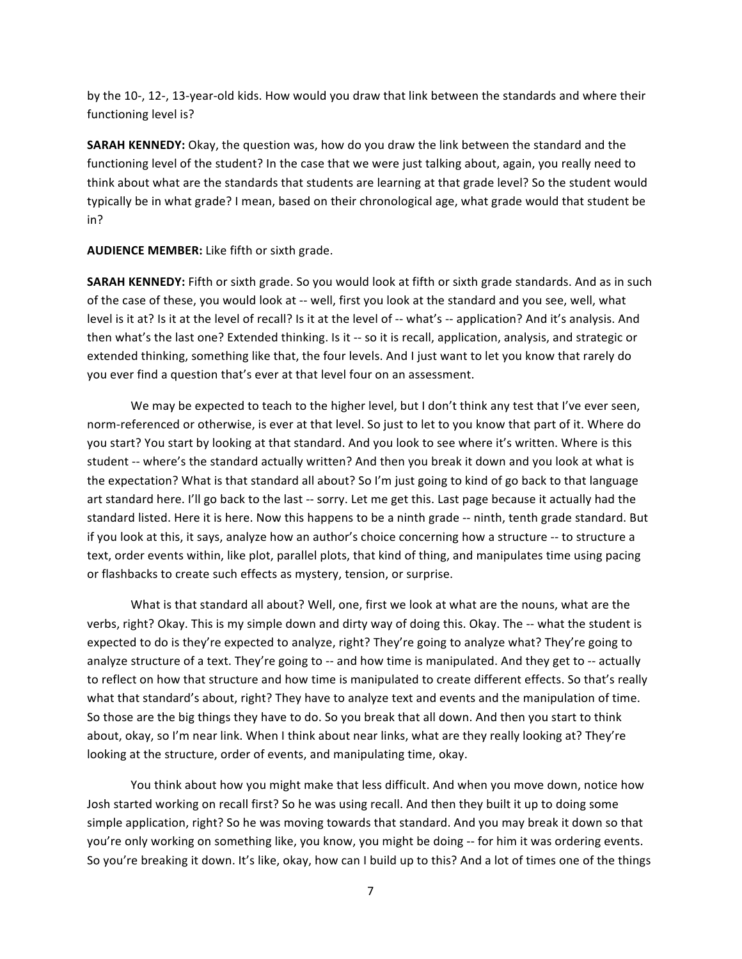by the 10-, 12-, 13-year-old kids. How would you draw that link between the standards and where their functioning level is?

**SARAH KENNEDY:** Okay, the question was, how do you draw the link between the standard and the functioning level of the student? In the case that we were just talking about, again, you really need to think about what are the standards that students are learning at that grade level? So the student would typically be in what grade? I mean, based on their chronological age, what grade would that student be in?

AUDIENCE MEMBER: Like fifth or sixth grade.

**SARAH KENNEDY:** Fifth or sixth grade. So you would look at fifth or sixth grade standards. And as in such of the case of these, you would look at -- well, first you look at the standard and you see, well, what level is it at? Is it at the level of recall? Is it at the level of -- what's -- application? And it's analysis. And then what's the last one? Extended thinking. Is it -- so it is recall, application, analysis, and strategic or extended thinking, something like that, the four levels. And I just want to let you know that rarely do you ever find a question that's ever at that level four on an assessment.

We may be expected to teach to the higher level, but I don't think any test that I've ever seen, norm-referenced or otherwise, is ever at that level. So just to let to you know that part of it. Where do you start? You start by looking at that standard. And you look to see where it's written. Where is this student -- where's the standard actually written? And then you break it down and you look at what is the expectation? What is that standard all about? So I'm just going to kind of go back to that language art standard here. I'll go back to the last -- sorry. Let me get this. Last page because it actually had the standard listed. Here it is here. Now this happens to be a ninth grade -- ninth, tenth grade standard. But if you look at this, it says, analyze how an author's choice concerning how a structure -- to structure a text, order events within, like plot, parallel plots, that kind of thing, and manipulates time using pacing or flashbacks to create such effects as mystery, tension, or surprise.

What is that standard all about? Well, one, first we look at what are the nouns, what are the verbs, right? Okay. This is my simple down and dirty way of doing this. Okay. The -- what the student is expected to do is they're expected to analyze, right? They're going to analyze what? They're going to analyze structure of a text. They're going to -- and how time is manipulated. And they get to -- actually to reflect on how that structure and how time is manipulated to create different effects. So that's really what that standard's about, right? They have to analyze text and events and the manipulation of time. So those are the big things they have to do. So you break that all down. And then you start to think about, okay, so I'm near link. When I think about near links, what are they really looking at? They're looking at the structure, order of events, and manipulating time, okay.

You think about how you might make that less difficult. And when you move down, notice how Josh started working on recall first? So he was using recall. And then they built it up to doing some simple application, right? So he was moving towards that standard. And you may break it down so that you're only working on something like, you know, you might be doing -- for him it was ordering events. So you're breaking it down. It's like, okay, how can I build up to this? And a lot of times one of the things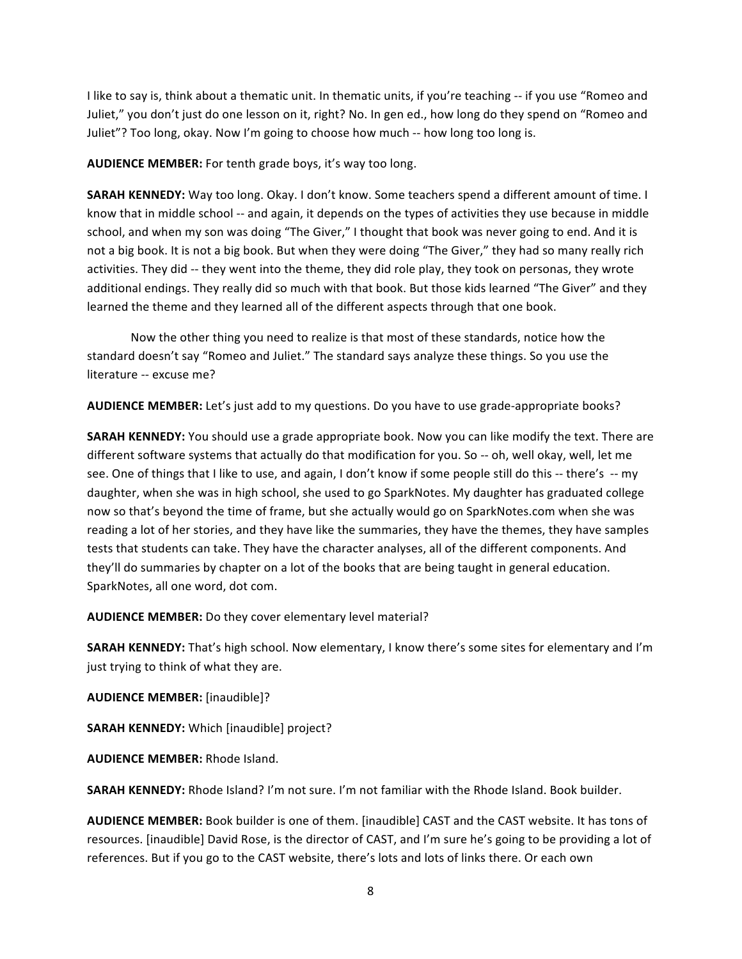I like to say is, think about a thematic unit. In thematic units, if you're teaching -- if you use "Romeo and Juliet," you don't just do one lesson on it, right? No. In gen ed., how long do they spend on "Romeo and Juliet"? Too long, okay. Now I'm going to choose how much -- how long too long is.

AUDIENCE MEMBER: For tenth grade boys, it's way too long.

**SARAH KENNEDY:** Way too long. Okay. I don't know. Some teachers spend a different amount of time. I know that in middle school -- and again, it depends on the types of activities they use because in middle school, and when my son was doing "The Giver," I thought that book was never going to end. And it is not a big book. It is not a big book. But when they were doing "The Giver," they had so many really rich activities. They did -- they went into the theme, they did role play, they took on personas, they wrote additional endings. They really did so much with that book. But those kids learned "The Giver" and they learned the theme and they learned all of the different aspects through that one book.

Now the other thing you need to realize is that most of these standards, notice how the standard doesn't say "Romeo and Juliet." The standard says analyze these things. So you use the literature -- excuse me?

AUDIENCE MEMBER: Let's just add to my questions. Do you have to use grade-appropriate books?

**SARAH KENNEDY:** You should use a grade appropriate book. Now you can like modify the text. There are different software systems that actually do that modification for you. So -- oh, well okay, well, let me see. One of things that I like to use, and again, I don't know if some people still do this -- there's -- my daughter, when she was in high school, she used to go SparkNotes. My daughter has graduated college now so that's beyond the time of frame, but she actually would go on SparkNotes.com when she was reading a lot of her stories, and they have like the summaries, they have the themes, they have samples tests that students can take. They have the character analyses, all of the different components. And they'll do summaries by chapter on a lot of the books that are being taught in general education. SparkNotes, all one word, dot com.

**AUDIENCE MEMBER:** Do they cover elementary level material?

**SARAH KENNEDY:** That's high school. Now elementary, I know there's some sites for elementary and I'm just trying to think of what they are.

**AUDIENCE MEMBER:** [inaudible]?

**SARAH KENNEDY:** Which [inaudible] project?

**AUDIENCE MEMBER: Rhode Island.** 

**SARAH KENNEDY:** Rhode Island? I'm not sure. I'm not familiar with the Rhode Island. Book builder.

**AUDIENCE MEMBER:** Book builder is one of them. [inaudible] CAST and the CAST website. It has tons of resources. [inaudible] David Rose, is the director of CAST, and I'm sure he's going to be providing a lot of references. But if you go to the CAST website, there's lots and lots of links there. Or each own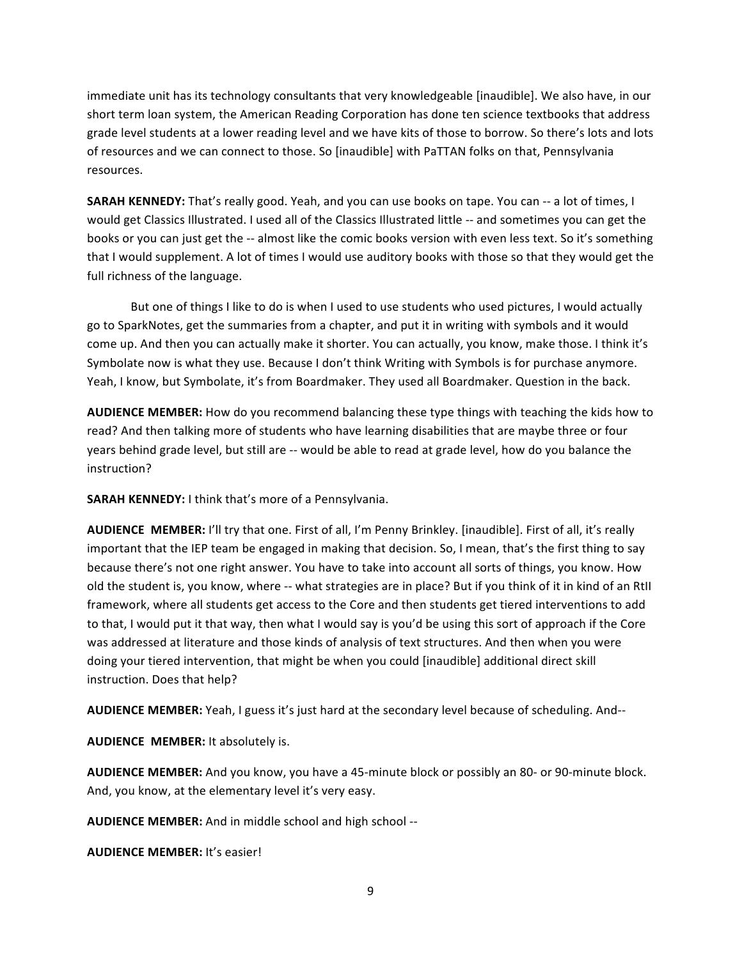immediate unit has its technology consultants that very knowledgeable [inaudible]. We also have, in our short term loan system, the American Reading Corporation has done ten science textbooks that address grade level students at a lower reading level and we have kits of those to borrow. So there's lots and lots of resources and we can connect to those. So [inaudible] with PaTTAN folks on that, Pennsylvania resources.

**SARAH KENNEDY:** That's really good. Yeah, and you can use books on tape. You can -- a lot of times, I would get Classics Illustrated. I used all of the Classics Illustrated little -- and sometimes you can get the books or you can just get the -- almost like the comic books version with even less text. So it's something that I would supplement. A lot of times I would use auditory books with those so that they would get the full richness of the language.

But one of things I like to do is when I used to use students who used pictures, I would actually go to SparkNotes, get the summaries from a chapter, and put it in writing with symbols and it would come up. And then you can actually make it shorter. You can actually, you know, make those. I think it's Symbolate now is what they use. Because I don't think Writing with Symbols is for purchase anymore. Yeah, I know, but Symbolate, it's from Boardmaker. They used all Boardmaker. Question in the back.

AUDIENCE MEMBER: How do you recommend balancing these type things with teaching the kids how to read? And then talking more of students who have learning disabilities that are maybe three or four years behind grade level, but still are -- would be able to read at grade level, how do you balance the instruction?

SARAH KENNEDY: I think that's more of a Pennsylvania.

AUDIENCE MEMBER: I'll try that one. First of all, I'm Penny Brinkley. [inaudible]. First of all, it's really important that the IEP team be engaged in making that decision. So, I mean, that's the first thing to say because there's not one right answer. You have to take into account all sorts of things, you know. How old the student is, you know, where -- what strategies are in place? But if you think of it in kind of an RtII framework, where all students get access to the Core and then students get tiered interventions to add to that, I would put it that way, then what I would say is you'd be using this sort of approach if the Core" was addressed at literature and those kinds of analysis of text structures. And then when you were doing your tiered intervention, that might be when you could [inaudible] additional direct skill instruction. Does that help?

AUDIENCE MEMBER: Yeah, I guess it's just hard at the secondary level because of scheduling. And--

**AUDIENCE MEMBER:** It absolutely is.

AUDIENCE MEMBER: And you know, you have a 45-minute block or possibly an 80- or 90-minute block. And, you know, at the elementary level it's very easy.

**AUDIENCE MEMBER:** And in middle school and high school --

**AUDIENCE MEMBER:** It's easier!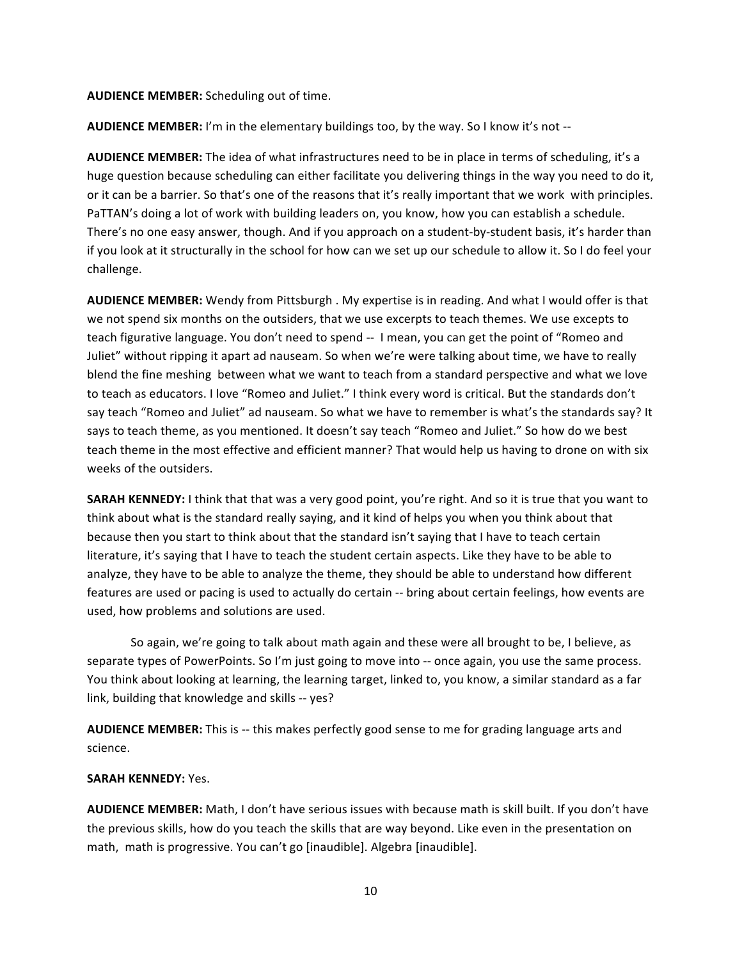#### **AUDIENCE MEMBER:** Scheduling out of time.

AUDIENCE MEMBER: I'm in the elementary buildings too, by the way. So I know it's not --

AUDIENCE MEMBER: The idea of what infrastructures need to be in place in terms of scheduling, it's a huge question because scheduling can either facilitate you delivering things in the way you need to do it, or it can be a barrier. So that's one of the reasons that it's really important that we work with principles. PaTTAN's doing a lot of work with building leaders on, you know, how you can establish a schedule. There's no one easy answer, though. And if you approach on a student-by-student basis, it's harder than if you look at it structurally in the school for how can we set up our schedule to allow it. So I do feel your challenge.

AUDIENCE MEMBER: Wendy from Pittsburgh . My expertise is in reading. And what I would offer is that we not spend six months on the outsiders, that we use excerpts to teach themes. We use excepts to teach figurative language. You don't need to spend -- I mean, you can get the point of "Romeo and Juliet" without ripping it apart ad nauseam. So when we're were talking about time, we have to really blend the fine meshing between what we want to teach from a standard perspective and what we love to teach as educators. I love "Romeo and Juliet." I think every word is critical. But the standards don't say teach "Romeo and Juliet" ad nauseam. So what we have to remember is what's the standards say? It says to teach theme, as you mentioned. It doesn't say teach "Romeo and Juliet." So how do we best teach theme in the most effective and efficient manner? That would help us having to drone on with six weeks of the outsiders.

**SARAH KENNEDY:** I think that that was a very good point, you're right. And so it is true that you want to think about what is the standard really saying, and it kind of helps you when you think about that because then you start to think about that the standard isn't saying that I have to teach certain literature, it's saying that I have to teach the student certain aspects. Like they have to be able to analyze, they have to be able to analyze the theme, they should be able to understand how different features are used or pacing is used to actually do certain -- bring about certain feelings, how events are used, how problems and solutions are used.

So again, we're going to talk about math again and these were all brought to be, I believe, as separate types of PowerPoints. So I'm just going to move into -- once again, you use the same process. You think about looking at learning, the learning target, linked to, you know, a similar standard as a far link, building that knowledge and skills -- yes?

AUDIENCE MEMBER: This is -- this makes perfectly good sense to me for grading language arts and science.

#### **SARAH KENNEDY: Yes.**

AUDIENCE MEMBER: Math, I don't have serious issues with because math is skill built. If you don't have the previous skills, how do you teach the skills that are way beyond. Like even in the presentation on math, math is progressive. You can't go [inaudible]. Algebra [inaudible].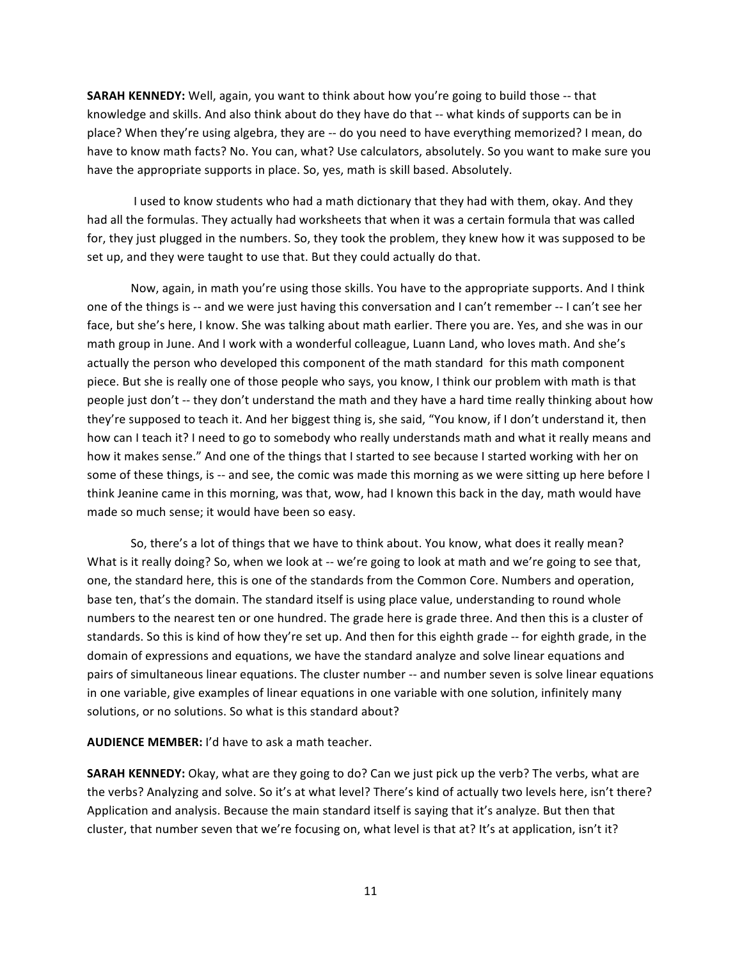**SARAH KENNEDY:** Well, again, you want to think about how you're going to build those -- that knowledge and skills. And also think about do they have do that -- what kinds of supports can be in place? When they're using algebra, they are -- do you need to have everything memorized? I mean, do have to know math facts? No. You can, what? Use calculators, absolutely. So you want to make sure you have the appropriate supports in place. So, yes, math is skill based. Absolutely.

I used to know students who had a math dictionary that they had with them, okay. And they had all the formulas. They actually had worksheets that when it was a certain formula that was called for, they just plugged in the numbers. So, they took the problem, they knew how it was supposed to be set up, and they were taught to use that. But they could actually do that.

Now, again, in math you're using those skills. You have to the appropriate supports. And I think one of the things is -- and we were just having this conversation and I can't remember -- I can't see her face, but she's here, I know. She was talking about math earlier. There you are. Yes, and she was in our math group in June. And I work with a wonderful colleague, Luann Land, who loves math. And she's actually the person who developed this component of the math standard for this math component piece. But she is really one of those people who says, you know, I think our problem with math is that people just don't -- they don't understand the math and they have a hard time really thinking about how they're supposed to teach it. And her biggest thing is, she said, "You know, if I don't understand it, then how can I teach it? I need to go to somebody who really understands math and what it really means and how it makes sense." And one of the things that I started to see because I started working with her on some of these things, is -- and see, the comic was made this morning as we were sitting up here before I think Jeanine came in this morning, was that, wow, had I known this back in the day, math would have made so much sense; it would have been so easy.

So, there's a lot of things that we have to think about. You know, what does it really mean? What is it really doing? So, when we look at -- we're going to look at math and we're going to see that, one, the standard here, this is one of the standards from the Common Core. Numbers and operation, base ten, that's the domain. The standard itself is using place value, understanding to round whole numbers to the nearest ten or one hundred. The grade here is grade three. And then this is a cluster of standards. So this is kind of how they're set up. And then for this eighth grade -- for eighth grade, in the domain of expressions and equations, we have the standard analyze and solve linear equations and pairs of simultaneous linear equations. The cluster number -- and number seven is solve linear equations in one variable, give examples of linear equations in one variable with one solution, infinitely many solutions, or no solutions. So what is this standard about?

**AUDIENCE MEMBER:** I'd have to ask a math teacher.

**SARAH KENNEDY:** Okay, what are they going to do? Can we just pick up the verb? The verbs, what are the verbs? Analyzing and solve. So it's at what level? There's kind of actually two levels here, isn't there? Application and analysis. Because the main standard itself is saying that it's analyze. But then that cluster, that number seven that we're focusing on, what level is that at? It's at application, isn't it?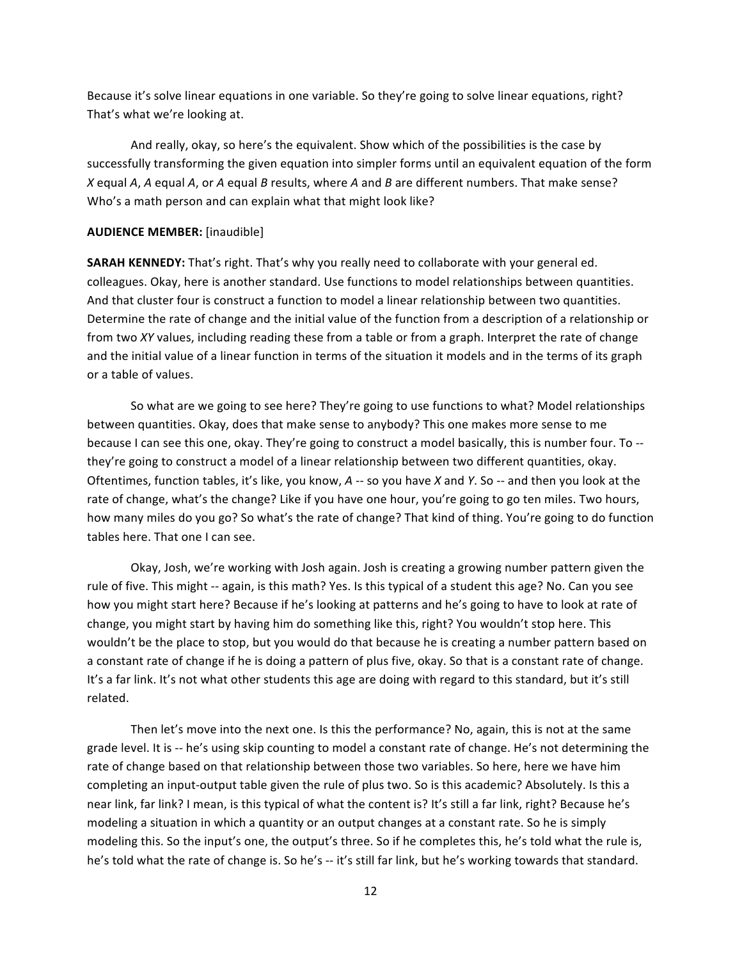Because it's solve linear equations in one variable. So they're going to solve linear equations, right? That's what we're looking at.

And really, okay, so here's the equivalent. Show which of the possibilities is the case by successfully transforming the given equation into simpler forms until an equivalent equation of the form *X* equal *A*, *A* equal *A*, or *A* equal *B* results, where *A* and *B* are different numbers. That make sense? Who's a math person and can explain what that might look like?

#### **AUDIENCE MEMBER:** [inaudible]

SARAH KENNEDY: That's right. That's why you really need to collaborate with your general ed. colleagues. Okay, here is another standard. Use functions to model relationships between quantities. And that cluster four is construct a function to model a linear relationship between two quantities. Determine the rate of change and the initial value of the function from a description of a relationship or from two *XY* values, including reading these from a table or from a graph. Interpret the rate of change and the initial value of a linear function in terms of the situation it models and in the terms of its graph or a table of values.

So what are we going to see here? They're going to use functions to what? Model relationships between quantities. Okay, does that make sense to anybody? This one makes more sense to me because I can see this one, okay. They're going to construct a model basically, this is number four. To -they're going to construct a model of a linear relationship between two different quantities, okay. Oftentimes, function tables, it's like, you know, A -- so you have X and Y. So -- and then you look at the rate of change, what's the change? Like if you have one hour, you're going to go ten miles. Two hours, how many miles do you go? So what's the rate of change? That kind of thing. You're going to do function tables here. That one I can see.

Okay, Josh, we're working with Josh again. Josh is creating a growing number pattern given the rule of five. This might -- again, is this math? Yes. Is this typical of a student this age? No. Can you see how you might start here? Because if he's looking at patterns and he's going to have to look at rate of change, you might start by having him do something like this, right? You wouldn't stop here. This wouldn't be the place to stop, but you would do that because he is creating a number pattern based on a constant rate of change if he is doing a pattern of plus five, okay. So that is a constant rate of change. It's a far link. It's not what other students this age are doing with regard to this standard, but it's still related.

Then let's move into the next one. Is this the performance? No, again, this is not at the same grade level. It is -- he's using skip counting to model a constant rate of change. He's not determining the rate of change based on that relationship between those two variables. So here, here we have him completing an input-output table given the rule of plus two. So is this academic? Absolutely. Is this a near link, far link? I mean, is this typical of what the content is? It's still a far link, right? Because he's modeling a situation in which a quantity or an output changes at a constant rate. So he is simply modeling this. So the input's one, the output's three. So if he completes this, he's told what the rule is, he's told what the rate of change is. So he's -- it's still far link, but he's working towards that standard.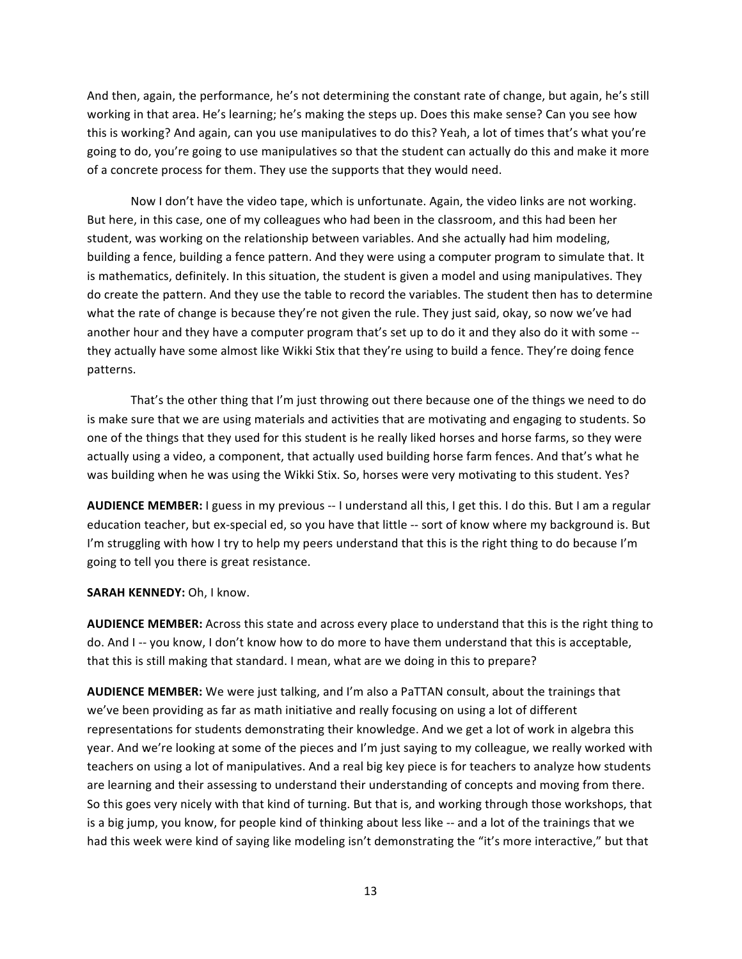And then, again, the performance, he's not determining the constant rate of change, but again, he's still working in that area. He's learning; he's making the steps up. Does this make sense? Can you see how this is working? And again, can you use manipulatives to do this? Yeah, a lot of times that's what you're going to do, you're going to use manipulatives so that the student can actually do this and make it more of a concrete process for them. They use the supports that they would need.

Now I don't have the video tape, which is unfortunate. Again, the video links are not working. But here, in this case, one of my colleagues who had been in the classroom, and this had been her student, was working on the relationship between variables. And she actually had him modeling, building a fence, building a fence pattern. And they were using a computer program to simulate that. It is mathematics, definitely. In this situation, the student is given a model and using manipulatives. They do create the pattern. And they use the table to record the variables. The student then has to determine what the rate of change is because they're not given the rule. They just said, okay, so now we've had another hour and they have a computer program that's set up to do it and they also do it with some -they actually have some almost like Wikki Stix that they're using to build a fence. They're doing fence patterns."

That's the other thing that I'm just throwing out there because one of the things we need to do is make sure that we are using materials and activities that are motivating and engaging to students. So one of the things that they used for this student is he really liked horses and horse farms, so they were actually using a video, a component, that actually used building horse farm fences. And that's what he was building when he was using the Wikki Stix. So, horses were very motivating to this student. Yes?

AUDIENCE MEMBER: I guess in my previous -- I understand all this, I get this. I do this. But I am a regular education teacher, but ex-special ed, so you have that little -- sort of know where my background is. But I'm struggling with how I try to help my peers understand that this is the right thing to do because I'm going to tell you there is great resistance.

# **SARAH KENNEDY: Oh, I know.**

AUDIENCE MEMBER: Across this state and across every place to understand that this is the right thing to do. And I-- you know, I don't know how to do more to have them understand that this is acceptable, that this is still making that standard. I mean, what are we doing in this to prepare?

AUDIENCE MEMBER: We were just talking, and I'm also a PaTTAN consult, about the trainings that we've been providing as far as math initiative and really focusing on using a lot of different representations for students demonstrating their knowledge. And we get a lot of work in algebra this year. And we're looking at some of the pieces and I'm just saying to my colleague, we really worked with teachers on using a lot of manipulatives. And a real big key piece is for teachers to analyze how students are learning and their assessing to understand their understanding of concepts and moving from there. So this goes very nicely with that kind of turning. But that is, and working through those workshops, that is a big jump, you know, for people kind of thinking about less like -- and a lot of the trainings that we had this week were kind of saying like modeling isn't demonstrating the "it's more interactive," but that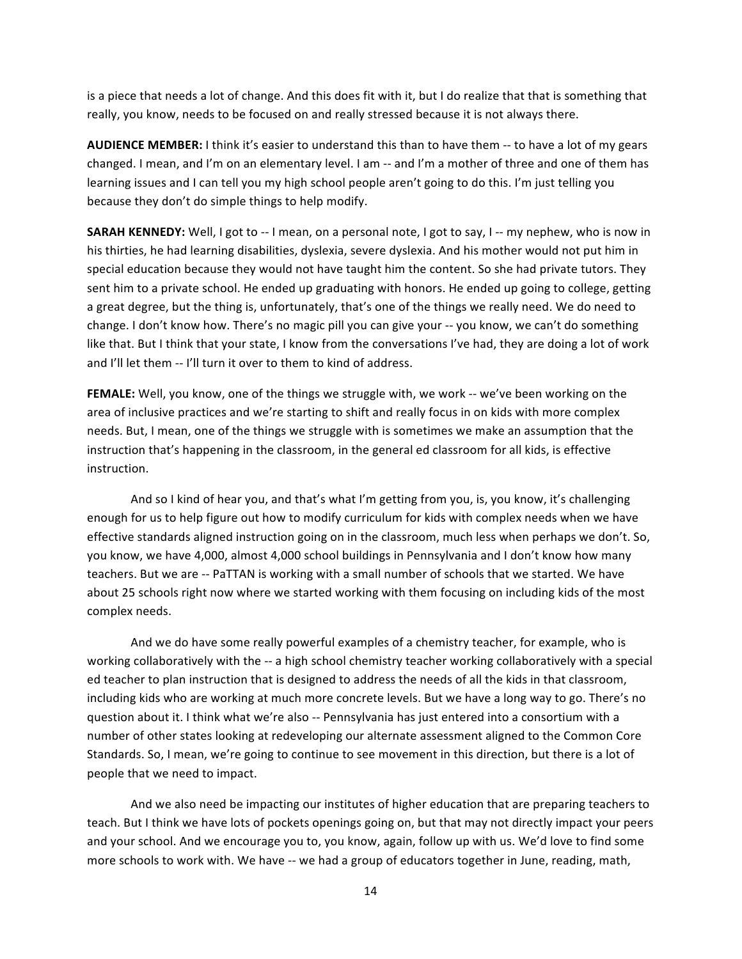is a piece that needs a lot of change. And this does fit with it, but I do realize that that is something that really, you know, needs to be focused on and really stressed because it is not always there.

AUDIENCE MEMBER: I think it's easier to understand this than to have them -- to have a lot of my gears changed. I mean, and I'm on an elementary level. I am -- and I'm a mother of three and one of them has learning issues and I can tell you my high school people aren't going to do this. I'm just telling you because they don't do simple things to help modify.

**SARAH KENNEDY:** Well, I got to -- I mean, on a personal note, I got to say, I -- my nephew, who is now in his thirties, he had learning disabilities, dyslexia, severe dyslexia. And his mother would not put him in special education because they would not have taught him the content. So she had private tutors. They sent him to a private school. He ended up graduating with honors. He ended up going to college, getting a great degree, but the thing is, unfortunately, that's one of the things we really need. We do need to change. I don't know how. There's no magic pill you can give your -- you know, we can't do something like that. But I think that your state, I know from the conversations I've had, they are doing a lot of work and I'll let them -- I'll turn it over to them to kind of address.

FEMALE: Well, you know, one of the things we struggle with, we work -- we've been working on the area of inclusive practices and we're starting to shift and really focus in on kids with more complex needs. But, I mean, one of the things we struggle with is sometimes we make an assumption that the instruction that's happening in the classroom, in the general ed classroom for all kids, is effective instruction.

And so I kind of hear you, and that's what I'm getting from you, is, you know, it's challenging enough for us to help figure out how to modify curriculum for kids with complex needs when we have effective standards aligned instruction going on in the classroom, much less when perhaps we don't. So, you know, we have 4,000, almost 4,000 school buildings in Pennsylvania and I don't know how many teachers. But we are -- PaTTAN is working with a small number of schools that we started. We have about 25 schools right now where we started working with them focusing on including kids of the most complex needs.

And we do have some really powerful examples of a chemistry teacher, for example, who is working collaboratively with the -- a high school chemistry teacher working collaboratively with a special ed teacher to plan instruction that is designed to address the needs of all the kids in that classroom, including kids who are working at much more concrete levels. But we have a long way to go. There's no question about it. I think what we're also -- Pennsylvania has just entered into a consortium with a number of other states looking at redeveloping our alternate assessment aligned to the Common Core Standards. So, I mean, we're going to continue to see movement in this direction, but there is a lot of people that we need to impact.

And we also need be impacting our institutes of higher education that are preparing teachers to teach. But I think we have lots of pockets openings going on, but that may not directly impact your peers and your school. And we encourage you to, you know, again, follow up with us. We'd love to find some more schools to work with. We have -- we had a group of educators together in June, reading, math,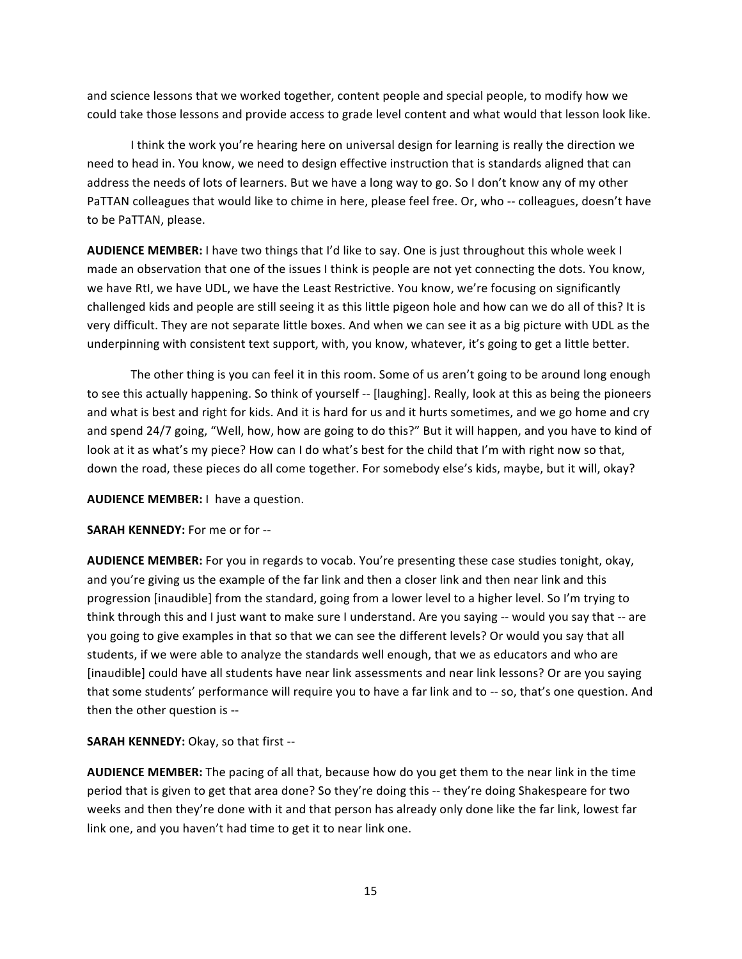and science lessons that we worked together, content people and special people, to modify how we could take those lessons and provide access to grade level content and what would that lesson look like.

I think the work you're hearing here on universal design for learning is really the direction we need to head in. You know, we need to design effective instruction that is standards aligned that can address the needs of lots of learners. But we have a long way to go. So I don't know any of my other PaTTAN colleagues that would like to chime in here, please feel free. Or, who -- colleagues, doesn't have to be PaTTAN, please.

AUDIENCE MEMBER: I have two things that I'd like to say. One is just throughout this whole week I made an observation that one of the issues I think is people are not yet connecting the dots. You know, we have RtI, we have UDL, we have the Least Restrictive. You know, we're focusing on significantly challenged kids and people are still seeing it as this little pigeon hole and how can we do all of this? It is very difficult. They are not separate little boxes. And when we can see it as a big picture with UDL as the underpinning with consistent text support, with, you know, whatever, it's going to get a little better.

The other thing is you can feel it in this room. Some of us aren't going to be around long enough to see this actually happening. So think of yourself -- [laughing]. Really, look at this as being the pioneers and what is best and right for kids. And it is hard for us and it hurts sometimes, and we go home and cry and spend 24/7 going, "Well, how, how are going to do this?" But it will happen, and you have to kind of look at it as what's my piece? How can I do what's best for the child that I'm with right now so that, down the road, these pieces do all come together. For somebody else's kids, maybe, but it will, okay?

**AUDIENCE MEMBER:** I have a question.

**SARAH KENNEDY:** For me or for --

AUDIENCE MEMBER: For you in regards to vocab. You're presenting these case studies tonight, okay, and you're giving us the example of the far link and then a closer link and then near link and this progression [inaudible] from the standard, going from a lower level to a higher level. So I'm trying to think through this and I just want to make sure I understand. Are you saying -- would you say that -- are you going to give examples in that so that we can see the different levels? Or would you say that all students, if we were able to analyze the standards well enough, that we as educators and who are [inaudible] could have all students have near link assessments and near link lessons? Or are you saying that some students' performance will require you to have a far link and to -- so, that's one question. And then the other question is --

**SARAH KENNEDY:** Okay, so that first --

AUDIENCE MEMBER: The pacing of all that, because how do you get them to the near link in the time period that is given to get that area done? So they're doing this -- they're doing Shakespeare for two weeks and then they're done with it and that person has already only done like the far link, lowest far link one, and you haven't had time to get it to near link one.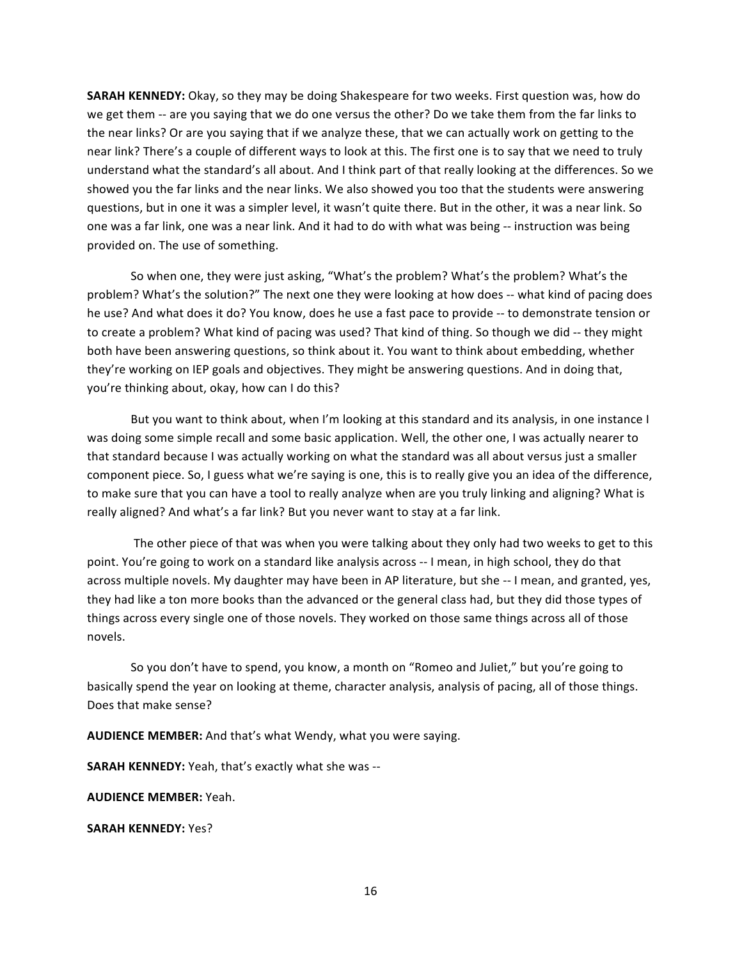**SARAH KENNEDY:** Okay, so they may be doing Shakespeare for two weeks. First question was, how do we get them -- are you saying that we do one versus the other? Do we take them from the far links to the near links? Or are you saying that if we analyze these, that we can actually work on getting to the near link? There's a couple of different ways to look at this. The first one is to say that we need to truly understand what the standard's all about. And I think part of that really looking at the differences. So we showed you the far links and the near links. We also showed you too that the students were answering questions, but in one it was a simpler level, it wasn't quite there. But in the other, it was a near link. So one was a far link, one was a near link. And it had to do with what was being -- instruction was being provided on. The use of something.

So when one, they were just asking, "What's the problem? What's the problem? What's the problem? What's the solution?" The next one they were looking at how does -- what kind of pacing does he use? And what does it do? You know, does he use a fast pace to provide -- to demonstrate tension or to create a problem? What kind of pacing was used? That kind of thing. So though we did -- they might both have been answering questions, so think about it. You want to think about embedding, whether they're working on IEP goals and objectives. They might be answering questions. And in doing that, you're thinking about, okay, how can I do this?

But you want to think about, when I'm looking at this standard and its analysis, in one instance I was doing some simple recall and some basic application. Well, the other one, I was actually nearer to that standard because I was actually working on what the standard was all about versus just a smaller component piece. So, I guess what we're saying is one, this is to really give you an idea of the difference, to make sure that you can have a tool to really analyze when are you truly linking and aligning? What is really aligned? And what's a far link? But you never want to stay at a far link.

The other piece of that was when you were talking about they only had two weeks to get to this point. You're going to work on a standard like analysis across -- I mean, in high school, they do that across multiple novels. My daughter may have been in AP literature, but she -- I mean, and granted, yes, they had like a ton more books than the advanced or the general class had, but they did those types of things across every single one of those novels. They worked on those same things across all of those novels."

So you don't have to spend, you know, a month on "Romeo and Juliet," but you're going to basically spend the year on looking at theme, character analysis, analysis of pacing, all of those things. Does that make sense?

AUDIENCE MEMBER: And that's what Wendy, what you were saying.

**SARAH KENNEDY:** Yeah, that's exactly what she was --

**AUDIENCE MEMBER: Yeah.** 

**SARAH KENNEDY: Yes?**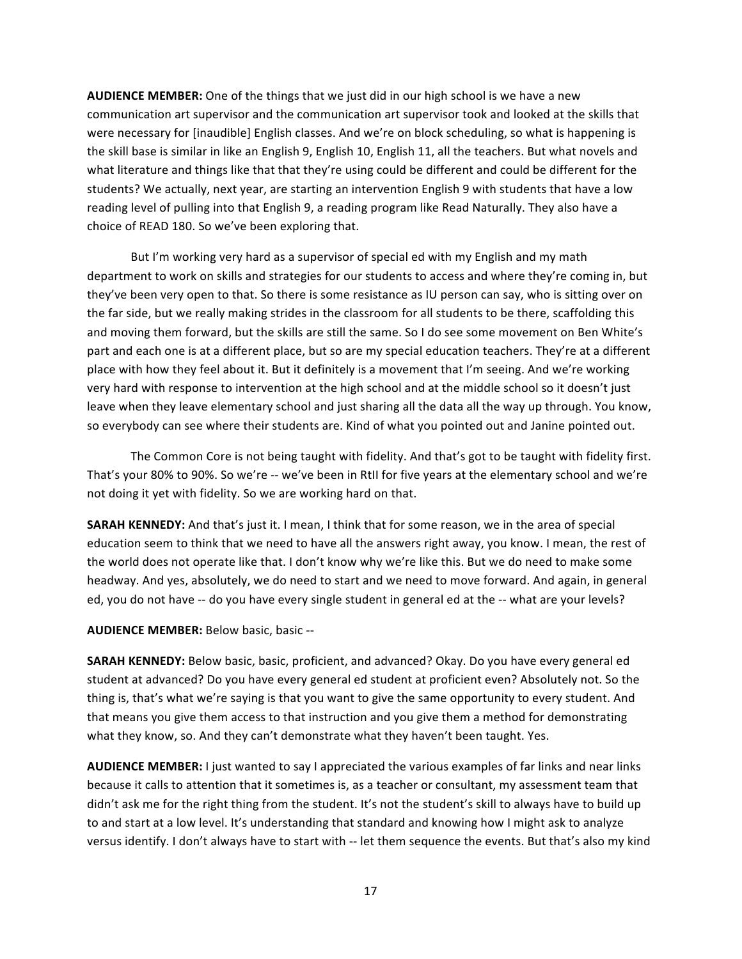**AUDIENCE MEMBER:** One of the things that we just did in our high school is we have a new communication art supervisor and the communication art supervisor took and looked at the skills that were necessary for [inaudible] English classes. And we're on block scheduling, so what is happening is the skill base is similar in like an English 9, English 10, English 11, all the teachers. But what novels and what literature and things like that that they're using could be different and could be different for the students? We actually, next year, are starting an intervention English 9 with students that have a low reading level of pulling into that English 9, a reading program like Read Naturally. They also have a choice of READ 180. So we've been exploring that.

But I'm working very hard as a supervisor of special ed with my English and my math department to work on skills and strategies for our students to access and where they're coming in, but they've been very open to that. So there is some resistance as IU person can say, who is sitting over on the far side, but we really making strides in the classroom for all students to be there, scaffolding this and moving them forward, but the skills are still the same. So I do see some movement on Ben White's part and each one is at a different place, but so are my special education teachers. They're at a different place with how they feel about it. But it definitely is a movement that I'm seeing. And we're working very hard with response to intervention at the high school and at the middle school so it doesn't just leave when they leave elementary school and just sharing all the data all the way up through. You know, so everybody can see where their students are. Kind of what you pointed out and Janine pointed out.

The Common Core is not being taught with fidelity. And that's got to be taught with fidelity first. That's your 80% to 90%. So we're -- we've been in RtII for five years at the elementary school and we're not doing it yet with fidelity. So we are working hard on that.

**SARAH KENNEDY:** And that's just it. I mean, I think that for some reason, we in the area of special education seem to think that we need to have all the answers right away, you know. I mean, the rest of the world does not operate like that. I don't know why we're like this. But we do need to make some headway. And yes, absolutely, we do need to start and we need to move forward. And again, in general ed, you do not have -- do you have every single student in general ed at the -- what are your levels?

# **AUDIENCE MEMBER: Below basic, basic --**

**SARAH KENNEDY:** Below basic, basic, proficient, and advanced? Okay. Do you have every general ed student at advanced? Do you have every general ed student at proficient even? Absolutely not. So the thing is, that's what we're saying is that you want to give the same opportunity to every student. And that means you give them access to that instruction and you give them a method for demonstrating what they know, so. And they can't demonstrate what they haven't been taught. Yes.

**AUDIENCE MEMBER:** I just wanted to say I appreciated the various examples of far links and near links because it calls to attention that it sometimes is, as a teacher or consultant, my assessment team that didn't ask me for the right thing from the student. It's not the student's skill to always have to build up to and start at a low level. It's understanding that standard and knowing how I might ask to analyze versus identify. I don't always have to start with -- let them sequence the events. But that's also my kind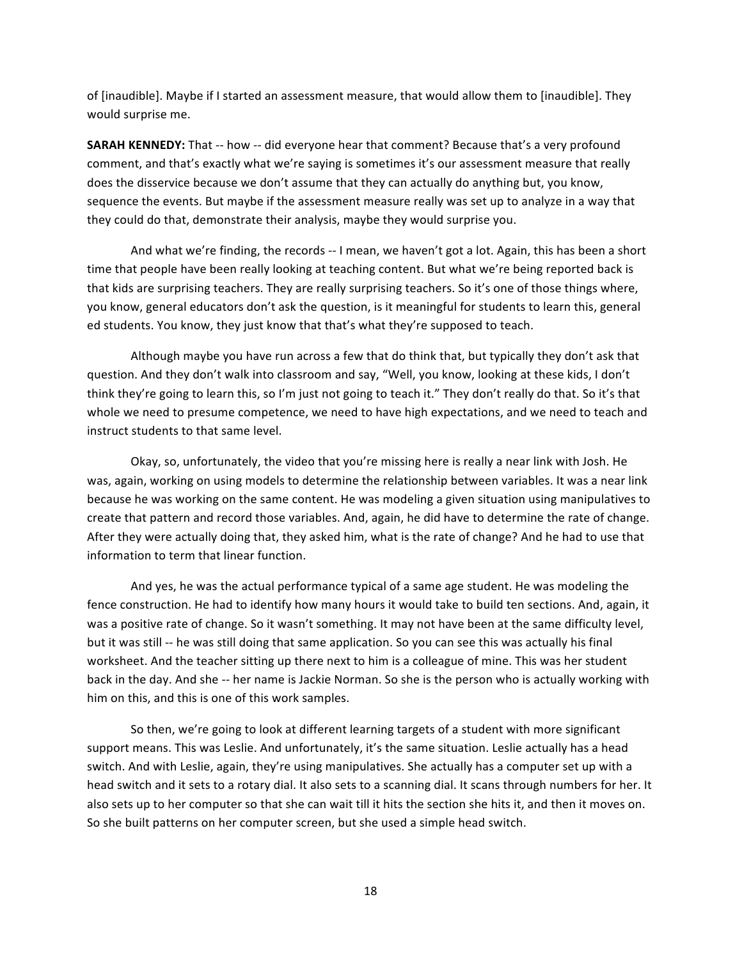of [inaudible]. Maybe if I started an assessment measure, that would allow them to [inaudible]. They would surprise me.

**SARAH KENNEDY:** That -- how -- did everyone hear that comment? Because that's a very profound comment, and that's exactly what we're saying is sometimes it's our assessment measure that really does the disservice because we don't assume that they can actually do anything but, you know, sequence the events. But maybe if the assessment measure really was set up to analyze in a way that they could do that, demonstrate their analysis, maybe they would surprise you.

And what we're finding, the records -- I mean, we haven't got a lot. Again, this has been a short time that people have been really looking at teaching content. But what we're being reported back is that kids are surprising teachers. They are really surprising teachers. So it's one of those things where, you know, general educators don't ask the question, is it meaningful for students to learn this, general ed students. You know, they just know that that's what they're supposed to teach.

Although maybe you have run across a few that do think that, but typically they don't ask that question. And they don't walk into classroom and say, "Well, you know, looking at these kids, I don't think they're going to learn this, so I'm just not going to teach it." They don't really do that. So it's that whole we need to presume competence, we need to have high expectations, and we need to teach and instruct students to that same level.

Okay, so, unfortunately, the video that you're missing here is really a near link with Josh. He was, again, working on using models to determine the relationship between variables. It was a near link because he was working on the same content. He was modeling a given situation using manipulatives to create that pattern and record those variables. And, again, he did have to determine the rate of change. After they were actually doing that, they asked him, what is the rate of change? And he had to use that information to term that linear function.

And yes, he was the actual performance typical of a same age student. He was modeling the fence construction. He had to identify how many hours it would take to build ten sections. And, again, it was a positive rate of change. So it wasn't something. It may not have been at the same difficulty level, but it was still -- he was still doing that same application. So you can see this was actually his final worksheet. And the teacher sitting up there next to him is a colleague of mine. This was her student back in the day. And she -- her name is Jackie Norman. So she is the person who is actually working with him on this, and this is one of this work samples.

So then, we're going to look at different learning targets of a student with more significant support means. This was Leslie. And unfortunately, it's the same situation. Leslie actually has a head switch. And with Leslie, again, they're using manipulatives. She actually has a computer set up with a head switch and it sets to a rotary dial. It also sets to a scanning dial. It scans through numbers for her. It also sets up to her computer so that she can wait till it hits the section she hits it, and then it moves on. So she built patterns on her computer screen, but she used a simple head switch.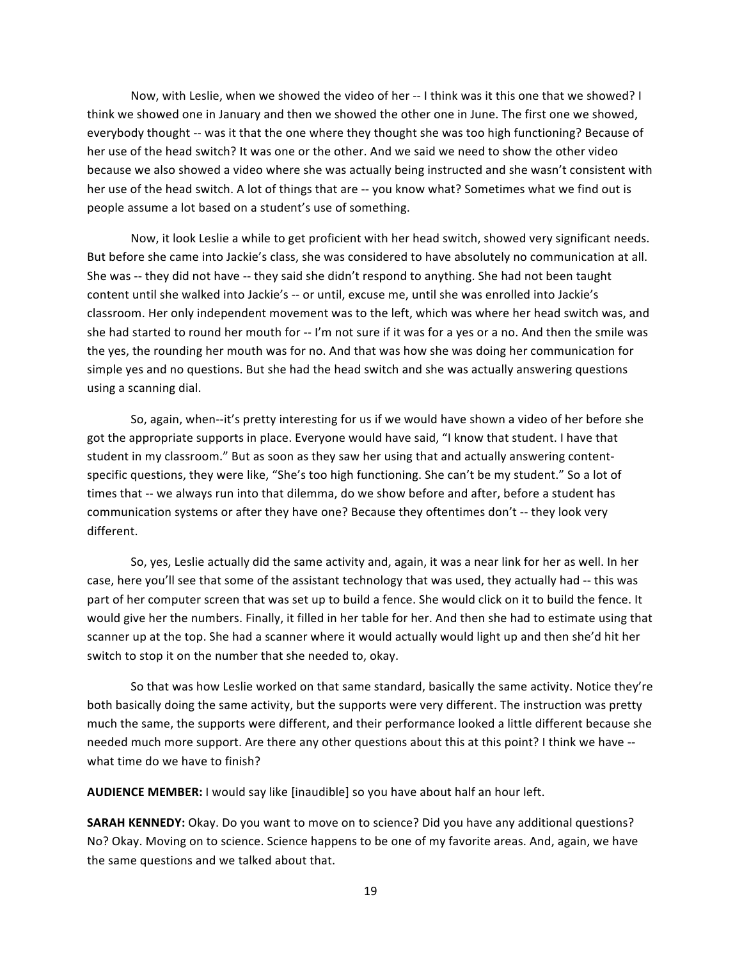Now, with Leslie, when we showed the video of her -- I think was it this one that we showed? I think we showed one in January and then we showed the other one in June. The first one we showed, everybody thought -- was it that the one where they thought she was too high functioning? Because of her use of the head switch? It was one or the other. And we said we need to show the other video because we also showed a video where she was actually being instructed and she wasn't consistent with her use of the head switch. A lot of things that are -- you know what? Sometimes what we find out is people assume a lot based on a student's use of something.

Now, it look Leslie a while to get proficient with her head switch, showed very significant needs. But before she came into Jackie's class, she was considered to have absolutely no communication at all. She was -- they did not have -- they said she didn't respond to anything. She had not been taught content until she walked into Jackie's -- or until, excuse me, until she was enrolled into Jackie's classroom. Her only independent movement was to the left, which was where her head switch was, and she had started to round her mouth for -- I'm not sure if it was for a yes or a no. And then the smile was the yes, the rounding her mouth was for no. And that was how she was doing her communication for simple yes and no questions. But she had the head switch and she was actually answering questions using a scanning dial.

So, again, when--it's pretty interesting for us if we would have shown a video of her before she got the appropriate supports in place. Everyone would have said, "I know that student. I have that student in my classroom." But as soon as they saw her using that and actually answering contentspecific questions, they were like, "She's too high functioning. She can't be my student." So a lot of times that -- we always run into that dilemma, do we show before and after, before a student has communication systems or after they have one? Because they oftentimes don't -- they look very different.

So, yes, Leslie actually did the same activity and, again, it was a near link for her as well. In her case, here you'll see that some of the assistant technology that was used, they actually had -- this was part of her computer screen that was set up to build a fence. She would click on it to build the fence. It would give her the numbers. Finally, it filled in her table for her. And then she had to estimate using that scanner up at the top. She had a scanner where it would actually would light up and then she'd hit her switch to stop it on the number that she needed to, okay.

So that was how Leslie worked on that same standard, basically the same activity. Notice they're both basically doing the same activity, but the supports were very different. The instruction was pretty much the same, the supports were different, and their performance looked a little different because she needed much more support. Are there any other questions about this at this point? I think we have -what time do we have to finish?

AUDIENCE MEMBER: I would say like [inaudible] so you have about half an hour left.

**SARAH KENNEDY:** Okay. Do you want to move on to science? Did you have any additional questions? No? Okay. Moving on to science. Science happens to be one of my favorite areas. And, again, we have the same questions and we talked about that.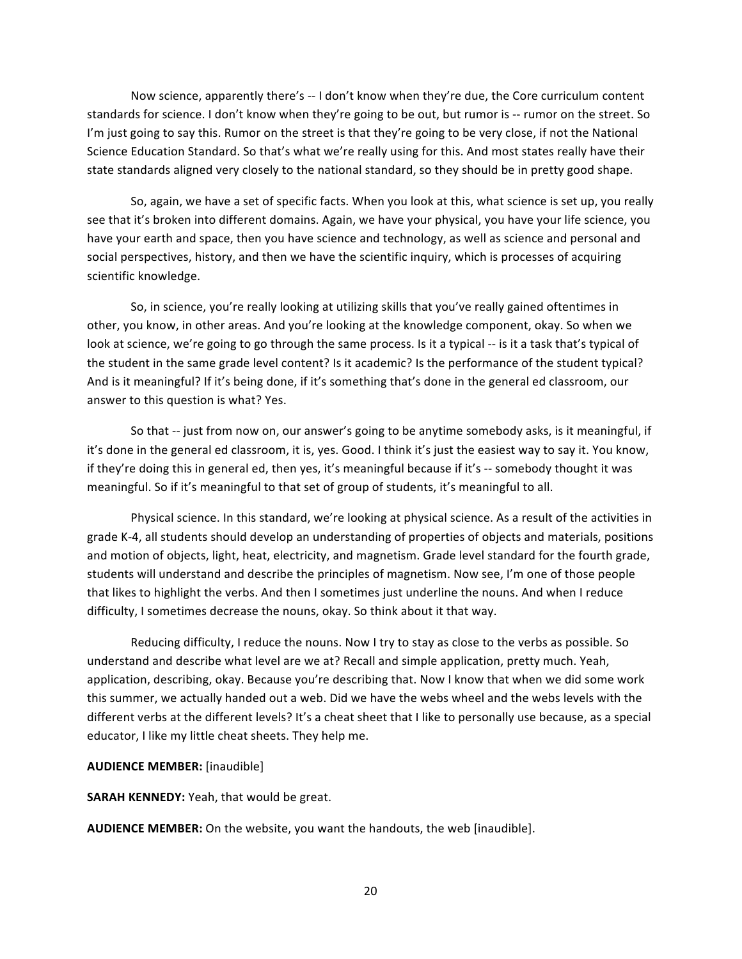Now science, apparently there's -- I don't know when they're due, the Core curriculum content standards for science. I don't know when they're going to be out, but rumor is -- rumor on the street. So I'm just going to say this. Rumor on the street is that they're going to be very close, if not the National Science Education Standard. So that's what we're really using for this. And most states really have their state standards aligned very closely to the national standard, so they should be in pretty good shape.

So, again, we have a set of specific facts. When you look at this, what science is set up, you really see that it's broken into different domains. Again, we have your physical, you have your life science, you have your earth and space, then you have science and technology, as well as science and personal and social perspectives, history, and then we have the scientific inquiry, which is processes of acquiring scientific knowledge.

So, in science, you're really looking at utilizing skills that you've really gained oftentimes in other, you know, in other areas. And you're looking at the knowledge component, okay. So when we look at science, we're going to go through the same process. Is it a typical -- is it a task that's typical of the student in the same grade level content? Is it academic? Is the performance of the student typical? And is it meaningful? If it's being done, if it's something that's done in the general ed classroom, our answer to this question is what? Yes.

So that -- just from now on, our answer's going to be anytime somebody asks, is it meaningful, if it's done in the general ed classroom, it is, yes. Good. I think it's just the easiest way to say it. You know, if they're doing this in general ed, then yes, it's meaningful because if it's -- somebody thought it was meaningful. So if it's meaningful to that set of group of students, it's meaningful to all.

Physical science. In this standard, we're looking at physical science. As a result of the activities in grade K-4, all students should develop an understanding of properties of objects and materials, positions" and motion of objects, light, heat, electricity, and magnetism. Grade level standard for the fourth grade, students will understand and describe the principles of magnetism. Now see, I'm one of those people that likes to highlight the verbs. And then I sometimes just underline the nouns. And when I reduce difficulty, I sometimes decrease the nouns, okay. So think about it that way.

Reducing difficulty, I reduce the nouns. Now I try to stay as close to the verbs as possible. So understand and describe what level are we at? Recall and simple application, pretty much. Yeah, application, describing, okay. Because you're describing that. Now I know that when we did some work this summer, we actually handed out a web. Did we have the webs wheel and the webs levels with the different verbs at the different levels? It's a cheat sheet that I like to personally use because, as a special educator, I like my little cheat sheets. They help me.

# **AUDIENCE MEMBER:** [inaudible]

**SARAH KENNEDY:** Yeah, that would be great.

**AUDIENCE MEMBER:** On the website, you want the handouts, the web [inaudible].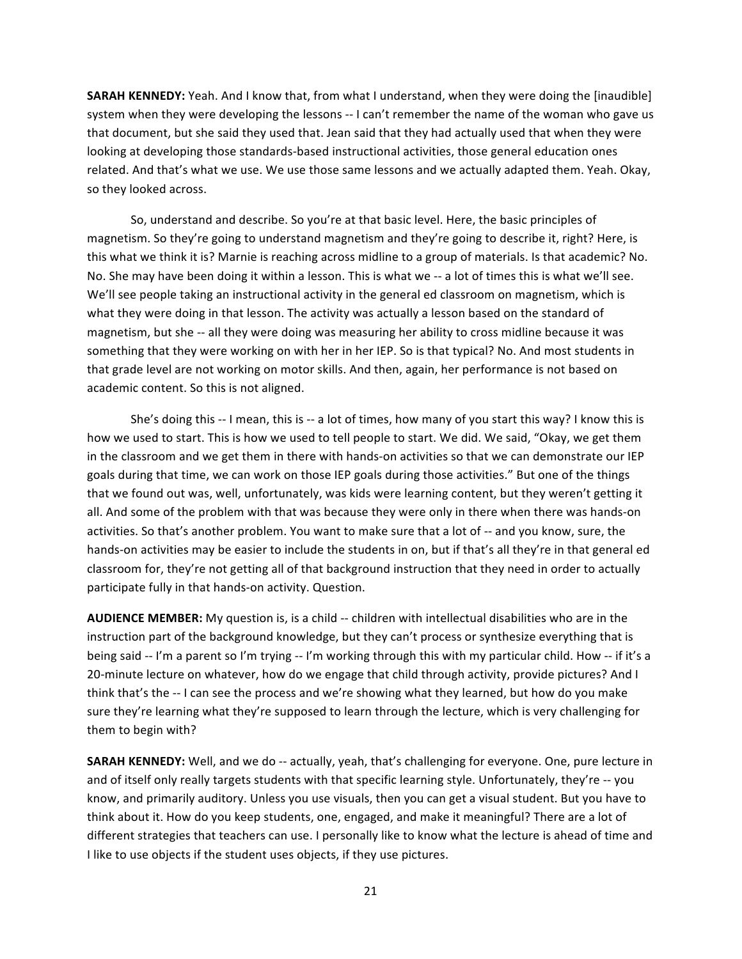**SARAH KENNEDY:** Yeah. And I know that, from what I understand, when they were doing the [inaudible] system when they were developing the lessons -- I can't remember the name of the woman who gave us that document, but she said they used that. Jean said that they had actually used that when they were looking at developing those standards-based instructional activities, those general education ones related. And that's what we use. We use those same lessons and we actually adapted them. Yeah. Okay, so they looked across.

So, understand and describe. So you're at that basic level. Here, the basic principles of magnetism. So they're going to understand magnetism and they're going to describe it, right? Here, is this what we think it is? Marnie is reaching across midline to a group of materials. Is that academic? No. No. She may have been doing it within a lesson. This is what we -- a lot of times this is what we'll see. We'll see people taking an instructional activity in the general ed classroom on magnetism, which is what they were doing in that lesson. The activity was actually a lesson based on the standard of magnetism, but she -- all they were doing was measuring her ability to cross midline because it was something that they were working on with her in her IEP. So is that typical? No. And most students in that grade level are not working on motor skills. And then, again, her performance is not based on academic content. So this is not aligned.

She's doing this -- I mean, this is -- a lot of times, how many of you start this way? I know this is how we used to start. This is how we used to tell people to start. We did. We said, "Okay, we get them in the classroom and we get them in there with hands-on activities so that we can demonstrate our IEP goals during that time, we can work on those IEP goals during those activities." But one of the things that we found out was, well, unfortunately, was kids were learning content, but they weren't getting it all. And some of the problem with that was because they were only in there when there was hands-on activities. So that's another problem. You want to make sure that a lot of -- and you know, sure, the hands-on activities may be easier to include the students in on, but if that's all they're in that general ed classroom for, they're not getting all of that background instruction that they need in order to actually participate fully in that hands-on activity. Question.

AUDIENCE MEMBER: My question is, is a child -- children with intellectual disabilities who are in the instruction part of the background knowledge, but they can't process or synthesize everything that is being said -- I'm a parent so I'm trying -- I'm working through this with my particular child. How -- if it's a 20-minute lecture on whatever, how do we engage that child through activity, provide pictures? And I think that's the -- I can see the process and we're showing what they learned, but how do you make sure they're learning what they're supposed to learn through the lecture, which is very challenging for them to begin with?

SARAH KENNEDY: Well, and we do -- actually, yeah, that's challenging for everyone. One, pure lecture in and of itself only really targets students with that specific learning style. Unfortunately, they're -- you know, and primarily auditory. Unless you use visuals, then you can get a visual student. But you have to think about it. How do you keep students, one, engaged, and make it meaningful? There are a lot of different strategies that teachers can use. I personally like to know what the lecture is ahead of time and I like to use objects if the student uses objects, if they use pictures.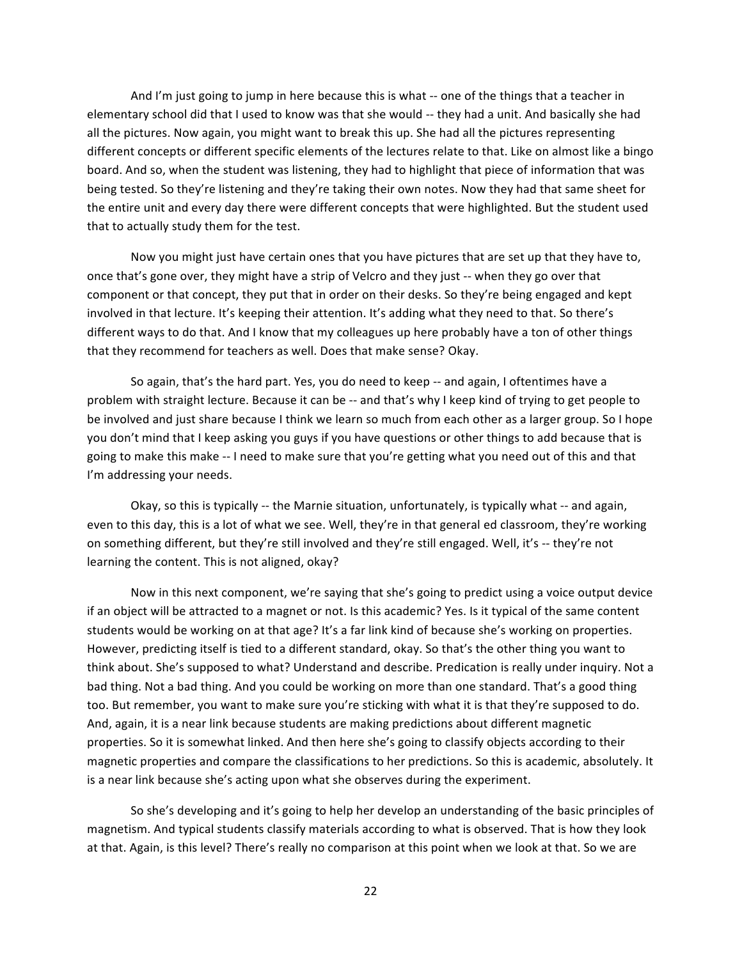And I'm just going to jump in here because this is what -- one of the things that a teacher in elementary school did that I used to know was that she would -- they had a unit. And basically she had all the pictures. Now again, you might want to break this up. She had all the pictures representing different concepts or different specific elements of the lectures relate to that. Like on almost like a bingo board. And so, when the student was listening, they had to highlight that piece of information that was being tested. So they're listening and they're taking their own notes. Now they had that same sheet for the entire unit and every day there were different concepts that were highlighted. But the student used that to actually study them for the test.

Now you might just have certain ones that you have pictures that are set up that they have to, once that's gone over, they might have a strip of Velcro and they just -- when they go over that component or that concept, they put that in order on their desks. So they're being engaged and kept involved in that lecture. It's keeping their attention. It's adding what they need to that. So there's different ways to do that. And I know that my colleagues up here probably have a ton of other things that they recommend for teachers as well. Does that make sense? Okay.

So again, that's the hard part. Yes, you do need to keep -- and again, I oftentimes have a problem with straight lecture. Because it can be -- and that's why I keep kind of trying to get people to be involved and just share because I think we learn so much from each other as a larger group. So I hope you don't mind that I keep asking you guys if you have questions or other things to add because that is going to make this make -- I need to make sure that you're getting what you need out of this and that I'm addressing your needs.

Okay, so this is typically -- the Marnie situation, unfortunately, is typically what -- and again, even to this day, this is a lot of what we see. Well, they're in that general ed classroom, they're working on something different, but they're still involved and they're still engaged. Well, it's -- they're not learning the content. This is not aligned, okay?

Now in this next component, we're saying that she's going to predict using a voice output device if an object will be attracted to a magnet or not. Is this academic? Yes. Is it typical of the same content students would be working on at that age? It's a far link kind of because she's working on properties. However, predicting itself is tied to a different standard, okay. So that's the other thing you want to think about. She's supposed to what? Understand and describe. Predication is really under inquiry. Not a bad thing. Not a bad thing. And you could be working on more than one standard. That's a good thing too. But remember, you want to make sure you're sticking with what it is that they're supposed to do. And, again, it is a near link because students are making predictions about different magnetic properties. So it is somewhat linked. And then here she's going to classify objects according to their magnetic properties and compare the classifications to her predictions. So this is academic, absolutely. It is a near link because she's acting upon what she observes during the experiment.

So she's developing and it's going to help her develop an understanding of the basic principles of magnetism. And typical students classify materials according to what is observed. That is how they look at that. Again, is this level? There's really no comparison at this point when we look at that. So we are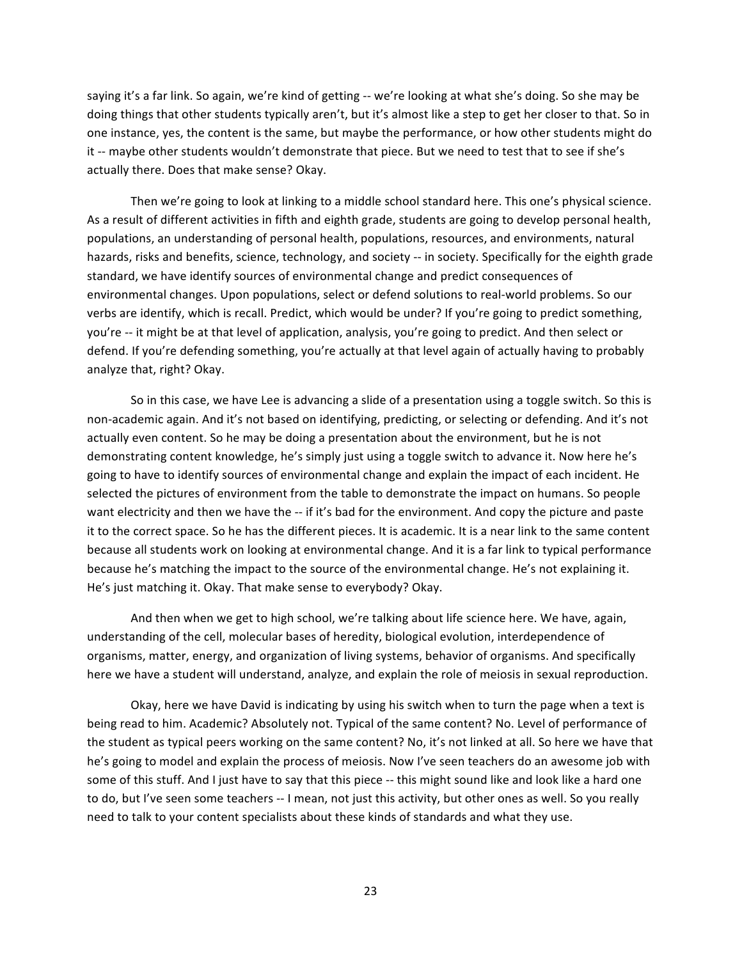saying it's a far link. So again, we're kind of getting -- we're looking at what she's doing. So she may be doing things that other students typically aren't, but it's almost like a step to get her closer to that. So in one instance, yes, the content is the same, but maybe the performance, or how other students might do it -- maybe other students wouldn't demonstrate that piece. But we need to test that to see if she's actually there. Does that make sense? Okay.

Then we're going to look at linking to a middle school standard here. This one's physical science. As a result of different activities in fifth and eighth grade, students are going to develop personal health, populations, an understanding of personal health, populations, resources, and environments, natural hazards, risks and benefits, science, technology, and society -- in society. Specifically for the eighth grade standard, we have identify sources of environmental change and predict consequences of environmental changes. Upon populations, select or defend solutions to real-world problems. So our verbs are identify, which is recall. Predict, which would be under? If you're going to predict something, you're -- it might be at that level of application, analysis, you're going to predict. And then select or defend. If you're defending something, you're actually at that level again of actually having to probably analyze that, right? Okay.

So in this case, we have Lee is advancing a slide of a presentation using a toggle switch. So this is non-academic again. And it's not based on identifying, predicting, or selecting or defending. And it's not actually even content. So he may be doing a presentation about the environment, but he is not demonstrating content knowledge, he's simply just using a toggle switch to advance it. Now here he's going to have to identify sources of environmental change and explain the impact of each incident. He selected the pictures of environment from the table to demonstrate the impact on humans. So people want electricity and then we have the -- if it's bad for the environment. And copy the picture and paste it to the correct space. So he has the different pieces. It is academic. It is a near link to the same content because all students work on looking at environmental change. And it is a far link to typical performance because he's matching the impact to the source of the environmental change. He's not explaining it. He's just matching it. Okay. That make sense to everybody? Okay.

And then when we get to high school, we're talking about life science here. We have, again, understanding of the cell, molecular bases of heredity, biological evolution, interdependence of organisms, matter, energy, and organization of living systems, behavior of organisms. And specifically here we have a student will understand, analyze, and explain the role of meiosis in sexual reproduction.

Okay, here we have David is indicating by using his switch when to turn the page when a text is being read to him. Academic? Absolutely not. Typical of the same content? No. Level of performance of the student as typical peers working on the same content? No, it's not linked at all. So here we have that he's going to model and explain the process of meiosis. Now I've seen teachers do an awesome job with some of this stuff. And I just have to say that this piece -- this might sound like and look like a hard one to do, but I've seen some teachers -- I mean, not just this activity, but other ones as well. So you really need to talk to your content specialists about these kinds of standards and what they use.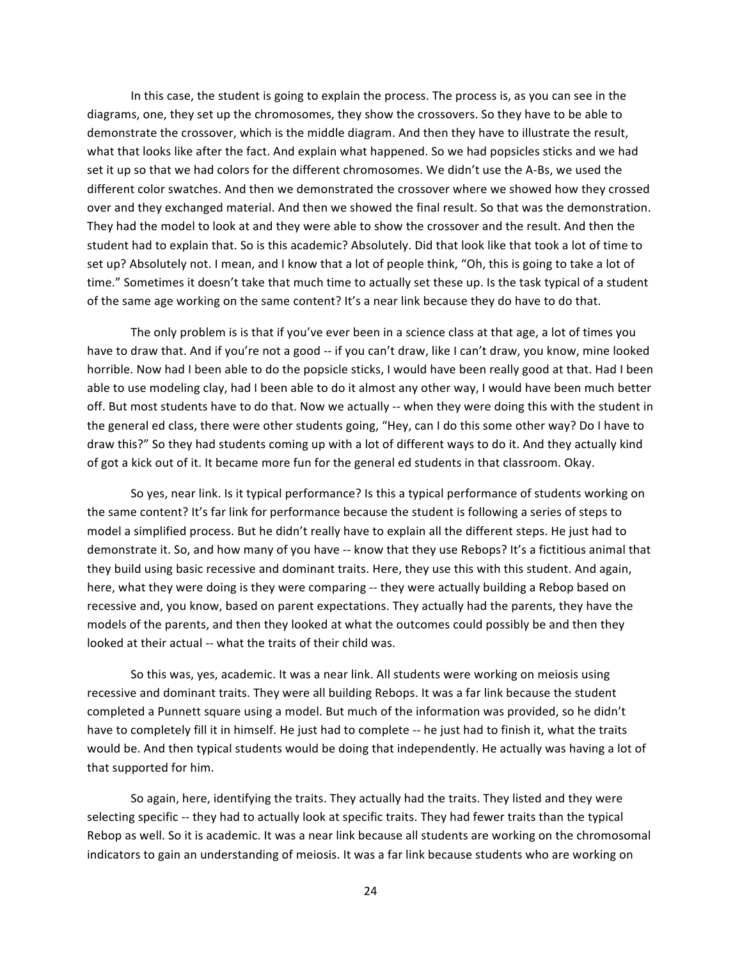In this case, the student is going to explain the process. The process is, as you can see in the diagrams, one, they set up the chromosomes, they show the crossovers. So they have to be able to demonstrate the crossover, which is the middle diagram. And then they have to illustrate the result, what that looks like after the fact. And explain what happened. So we had popsicles sticks and we had set it up so that we had colors for the different chromosomes. We didn't use the A-Bs, we used the different color swatches. And then we demonstrated the crossover where we showed how they crossed over and they exchanged material. And then we showed the final result. So that was the demonstration. They had the model to look at and they were able to show the crossover and the result. And then the student had to explain that. So is this academic? Absolutely. Did that look like that took a lot of time to set up? Absolutely not. I mean, and I know that a lot of people think, "Oh, this is going to take a lot of time." Sometimes it doesn't take that much time to actually set these up. Is the task typical of a student of the same age working on the same content? It's a near link because they do have to do that.

The only problem is is that if you've ever been in a science class at that age, a lot of times you have to draw that. And if you're not a good -- if you can't draw, like I can't draw, you know, mine looked horrible. Now had I been able to do the popsicle sticks, I would have been really good at that. Had I been able to use modeling clay, had I been able to do it almost any other way, I would have been much better off. But most students have to do that. Now we actually -- when they were doing this with the student in the general ed class, there were other students going, "Hey, can I do this some other way? Do I have to draw this?" So they had students coming up with a lot of different ways to do it. And they actually kind of got a kick out of it. It became more fun for the general ed students in that classroom. Okay.

So yes, near link. Is it typical performance? Is this a typical performance of students working on the same content? It's far link for performance because the student is following a series of steps to model a simplified process. But he didn't really have to explain all the different steps. He just had to demonstrate it. So, and how many of you have -- know that they use Rebops? It's a fictitious animal that they build using basic recessive and dominant traits. Here, they use this with this student. And again, here, what they were doing is they were comparing -- they were actually building a Rebop based on recessive and, you know, based on parent expectations. They actually had the parents, they have the models of the parents, and then they looked at what the outcomes could possibly be and then they looked at their actual -- what the traits of their child was.

So this was, yes, academic. It was a near link. All students were working on meiosis using recessive and dominant traits. They were all building Rebops. It was a far link because the student completed a Punnett square using a model. But much of the information was provided, so he didn't have to completely fill it in himself. He just had to complete -- he just had to finish it, what the traits would be. And then typical students would be doing that independently. He actually was having a lot of that supported for him.

So again, here, identifying the traits. They actually had the traits. They listed and they were selecting specific -- they had to actually look at specific traits. They had fewer traits than the typical Rebop as well. So it is academic. It was a near link because all students are working on the chromosomal indicators to gain an understanding of meiosis. It was a far link because students who are working on